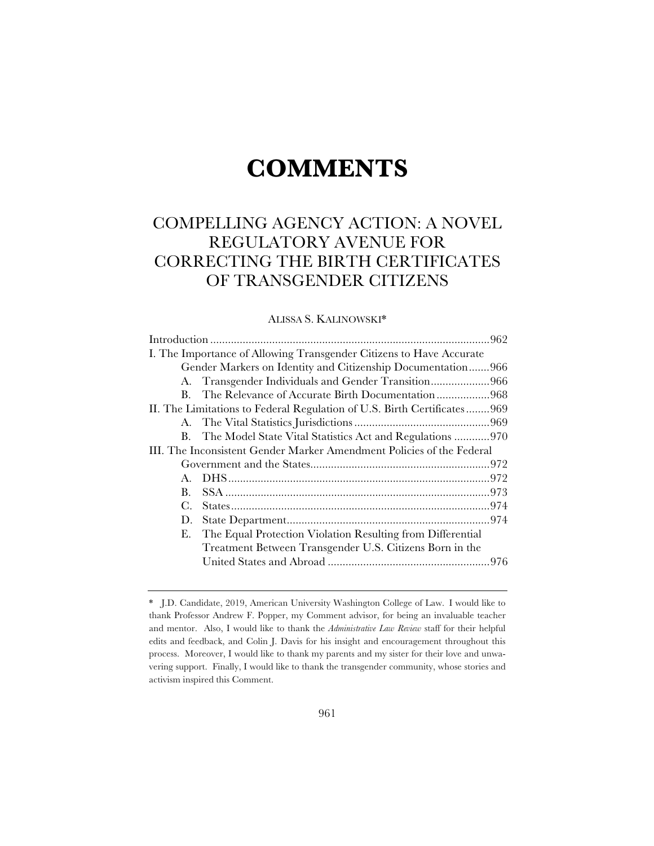# **COMMENTS**

# COMPELLING AGENCY ACTION: A NOVEL REGULATORY AVENUE FOR CORRECTING THE BIRTH CERTIFICATES OF TRANSGENDER CITIZENS

# ALISSA S. KALINOWSKI\*

| I. The Importance of Allowing Transgender Citizens to Have Accurate     |                                                             |  |
|-------------------------------------------------------------------------|-------------------------------------------------------------|--|
|                                                                         | Gender Markers on Identity and Citizenship Documentation966 |  |
|                                                                         | A. Transgender Individuals and Gender Transition966         |  |
| $\mathbf{B}$                                                            | The Relevance of Accurate Birth Documentation968            |  |
| II. The Limitations to Federal Regulation of U.S. Birth Certificates969 |                                                             |  |
|                                                                         |                                                             |  |
| $B_{-}$                                                                 | The Model State Vital Statistics Act and Regulations 970    |  |
| III. The Inconsistent Gender Marker Amendment Policies of the Federal   |                                                             |  |
|                                                                         |                                                             |  |
|                                                                         |                                                             |  |
| $\mathbf{B}$ .                                                          |                                                             |  |
| $C_{\cdot}$                                                             |                                                             |  |
| D.                                                                      |                                                             |  |
| Е.                                                                      | The Equal Protection Violation Resulting from Differential  |  |
|                                                                         | Treatment Between Transgender U.S. Citizens Born in the     |  |
|                                                                         |                                                             |  |
|                                                                         |                                                             |  |

<sup>\*</sup> J.D. Candidate, 2019, American University Washington College of Law. I would like to thank Professor Andrew F. Popper, my Comment advisor, for being an invaluable teacher and mentor. Also, I would like to thank the *Administrative Law Review* staff for their helpful edits and feedback, and Colin J. Davis for his insight and encouragement throughout this process. Moreover, I would like to thank my parents and my sister for their love and unwavering support. Finally, I would like to thank the transgender community, whose stories and activism inspired this Comment.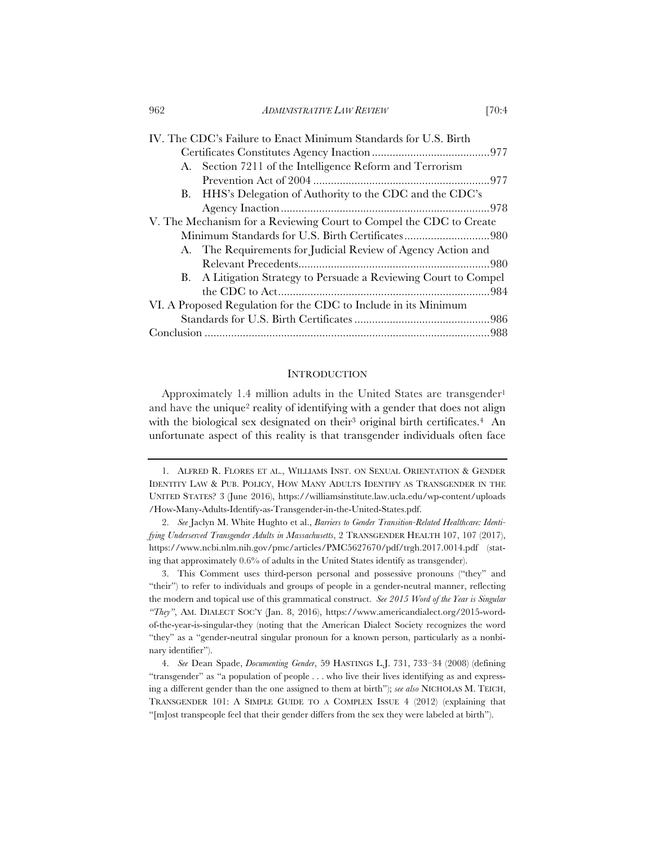962 *ADMINISTRATIVE LAW REVIEW* [70:4

| IV. The CDC's Failure to Enact Minimum Standards for U.S. Birth    |                                                                  |  |
|--------------------------------------------------------------------|------------------------------------------------------------------|--|
|                                                                    |                                                                  |  |
|                                                                    | A. Section 7211 of the Intelligence Reform and Terrorism         |  |
|                                                                    |                                                                  |  |
|                                                                    | B. HHS's Delegation of Authority to the CDC and the CDC's        |  |
|                                                                    |                                                                  |  |
| V. The Mechanism for a Reviewing Court to Compel the CDC to Create |                                                                  |  |
| Minimum Standards for U.S. Birth Certificates980                   |                                                                  |  |
|                                                                    | A. The Requirements for Judicial Review of Agency Action and     |  |
|                                                                    |                                                                  |  |
|                                                                    | B. A Litigation Strategy to Persuade a Reviewing Court to Compel |  |
|                                                                    |                                                                  |  |
| VI. A Proposed Regulation for the CDC to Include in its Minimum    |                                                                  |  |
|                                                                    |                                                                  |  |
|                                                                    |                                                                  |  |

#### **INTRODUCTION**

Approximately 1.4 million adults in the United States are transgender<sup>1</sup> and have the unique<sup>2</sup> reality of identifying with a gender that does not align with the biological sex designated on their<sup>3</sup> original birth certificates.<sup>4</sup> An unfortunate aspect of this reality is that transgender individuals often face

3. This Comment uses third-person personal and possessive pronouns ("they" and "their") to refer to individuals and groups of people in a gender-neutral manner, reflecting the modern and topical use of this grammatical construct. *See 2015 Word of the Year is Singular "They"*, AM. DIALECT SOC'Y (Jan. 8, 2016), https://www.americandialect.org/2015-wordof-the-year-is-singular-they (noting that the American Dialect Society recognizes the word "they" as a "gender-neutral singular pronoun for a known person, particularly as a nonbinary identifier").

4. *See* Dean Spade, *Documenting Gender*, 59 HASTINGS L.J. 731, 733–34 (2008) (defining "transgender" as "a population of people . . . who live their lives identifying as and expressing a different gender than the one assigned to them at birth"); *see also* NICHOLAS M. TEICH, TRANSGENDER 101: A SIMPLE GUIDE TO A COMPLEX ISSUE 4 (2012) (explaining that "[m]ost transpeople feel that their gender differs from the sex they were labeled at birth").

<sup>1.</sup> ALFRED R. FLORES ET AL., WILLIAMS INST. ON SEXUAL ORIENTATION & GENDER IDENTITY LAW & PUB. POLICY, HOW MANY ADULTS IDENTIFY AS TRANSGENDER IN THE UNITED STATES? 3 (June 2016), https://williamsinstitute.law.ucla.edu/wp-content/uploads /How-Many-Adults-Identify-as-Transgender-in-the-United-States.pdf.

<sup>2.</sup> *See* Jaclyn M. White Hughto et al., *Barriers to Gender Transition-Related Healthcare: Identifying Underserved Transgender Adults in Massachusetts*, 2 TRANSGENDER HEALTH 107, 107 (2017), https://www.ncbi.nlm.nih.gov/pmc/articles/PMC5627670/pdf/trgh.2017.0014.pdf (stating that approximately 0.6% of adults in the United States identify as transgender).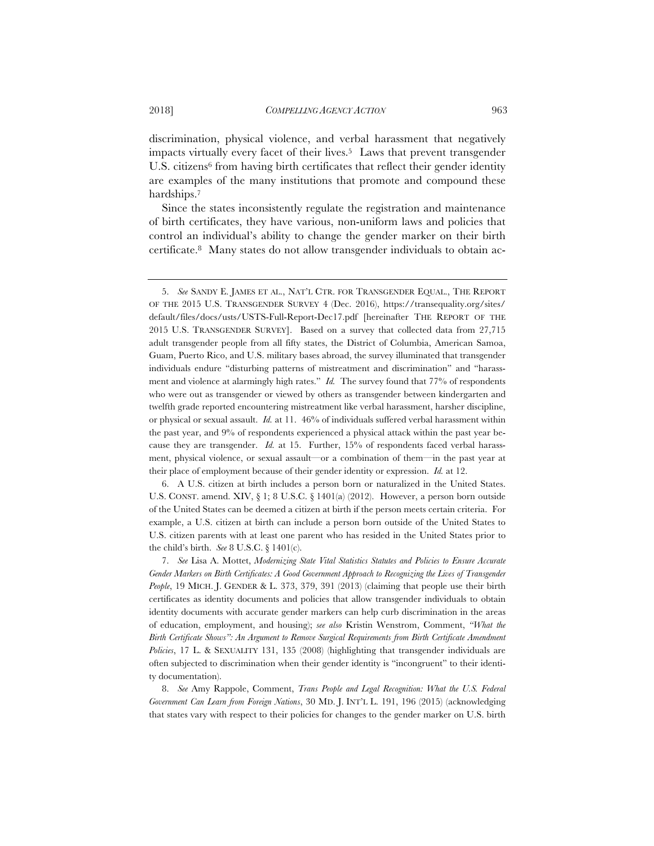discrimination, physical violence, and verbal harassment that negatively impacts virtually every facet of their lives.<sup>5</sup> Laws that prevent transgender U.S. citizens<sup>6</sup> from having birth certificates that reflect their gender identity are examples of the many institutions that promote and compound these hardships.7

Since the states inconsistently regulate the registration and maintenance of birth certificates, they have various, non-uniform laws and policies that control an individual's ability to change the gender marker on their birth certificate.8 Many states do not allow transgender individuals to obtain ac-

6. A U.S. citizen at birth includes a person born or naturalized in the United States. U.S. CONST. amend. XIV, § 1; 8 U.S.C. § 1401(a) (2012). However, a person born outside of the United States can be deemed a citizen at birth if the person meets certain criteria. For example, a U.S. citizen at birth can include a person born outside of the United States to U.S. citizen parents with at least one parent who has resided in the United States prior to the child's birth. *See* 8 U.S.C. § 1401(c).

7. *See* Lisa A. Mottet, *Modernizing State Vital Statistics Statutes and Policies to Ensure Accurate Gender Markers on Birth Certificates: A Good Government Approach to Recognizing the Lives of Transgender People*, 19 MICH. J. GENDER & L. 373, 379, 391 (2013) (claiming that people use their birth certificates as identity documents and policies that allow transgender individuals to obtain identity documents with accurate gender markers can help curb discrimination in the areas of education, employment, and housing); *see also* Kristin Wenstrom, Comment, *"What the Birth Certificate Shows": An Argument to Remove Surgical Requirements from Birth Certificate Amendment Policies*, 17 L. & SEXUALITY 131, 135 (2008) (highlighting that transgender individuals are often subjected to discrimination when their gender identity is "incongruent" to their identity documentation).

8. *See* Amy Rappole, Comment, *Trans People and Legal Recognition: What the U.S. Federal Government Can Learn from Foreign Nations*, 30 MD. J. INT'L L. 191, 196 (2015) (acknowledging that states vary with respect to their policies for changes to the gender marker on U.S. birth

<sup>5.</sup> *See* SANDY E. JAMES ET AL., NAT'L CTR. FOR TRANSGENDER EQUAL., THE REPORT OF THE 2015 U.S. TRANSGENDER SURVEY 4 (Dec. 2016), https://transequality.org/sites/ default/files/docs/usts/USTS-Full-Report-Dec17.pdf [hereinafter THE REPORT OF THE 2015 U.S. TRANSGENDER SURVEY]. Based on a survey that collected data from 27,715 adult transgender people from all fifty states, the District of Columbia, American Samoa, Guam, Puerto Rico, and U.S. military bases abroad, the survey illuminated that transgender individuals endure "disturbing patterns of mistreatment and discrimination" and "harassment and violence at alarmingly high rates." *Id.* The survey found that 77% of respondents who were out as transgender or viewed by others as transgender between kindergarten and twelfth grade reported encountering mistreatment like verbal harassment, harsher discipline, or physical or sexual assault. *Id.* at 11. 46% of individuals suffered verbal harassment within the past year, and 9% of respondents experienced a physical attack within the past year because they are transgender. *Id.* at 15. Further, 15% of respondents faced verbal harassment, physical violence, or sexual assault—or a combination of them—in the past year at their place of employment because of their gender identity or expression. *Id.* at 12.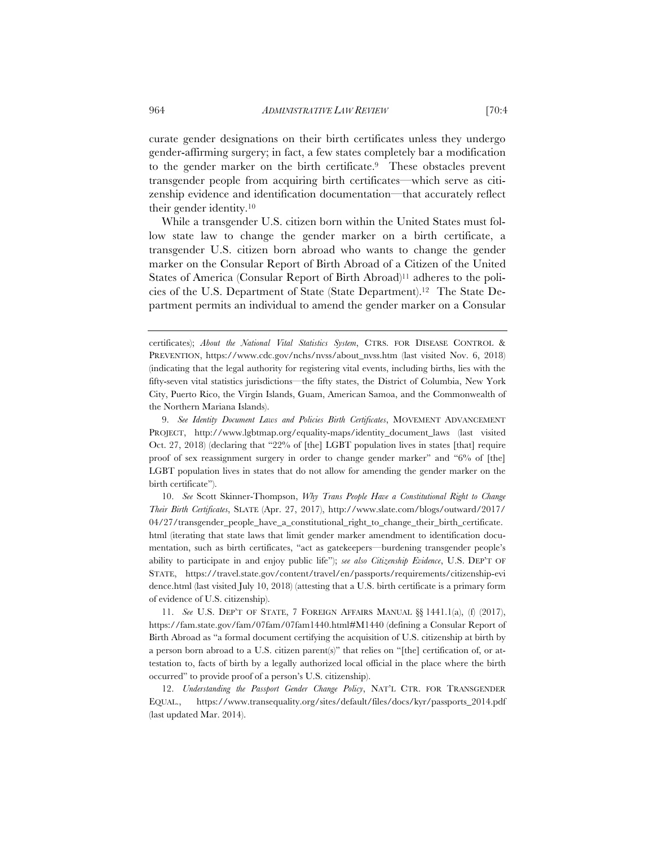curate gender designations on their birth certificates unless they undergo gender-affirming surgery; in fact, a few states completely bar a modification to the gender marker on the birth certificate.9 These obstacles prevent transgender people from acquiring birth certificates—which serve as citizenship evidence and identification documentation—that accurately reflect their gender identity.10

While a transgender U.S. citizen born within the United States must follow state law to change the gender marker on a birth certificate, a transgender U.S. citizen born abroad who wants to change the gender marker on the Consular Report of Birth Abroad of a Citizen of the United States of America (Consular Report of Birth Abroad)11 adheres to the policies of the U.S. Department of State (State Department).12 The State Department permits an individual to amend the gender marker on a Consular

10. *See* Scott Skinner-Thompson, *Why Trans People Have a Constitutional Right to Change Their Birth Certificates*, SLATE (Apr. 27, 2017), http://www.slate.com/blogs/outward/2017/ 04/27/transgender\_people\_have\_a\_constitutional\_right\_to\_change\_their\_birth\_certificate. html (iterating that state laws that limit gender marker amendment to identification documentation, such as birth certificates, "act as gatekeepers—burdening transgender people's ability to participate in and enjoy public life"); *see also Citizenship Evidence*, U.S. DEP'T OF STATE, https://travel.state.gov/content/travel/en/passports/requirements/citizenship-evi dence.html (last visited July 10, 2018) (attesting that a U.S. birth certificate is a primary form of evidence of U.S. citizenship).

11. *See* U.S. DEP'T OF STATE,7FOREIGN AFFAIRS MANUAL §§ 1441.1(a), (f) (2017), https://fam.state.gov/fam/07fam/07fam1440.html#M1440 (defining a Consular Report of Birth Abroad as "a formal document certifying the acquisition of U.S. citizenship at birth by a person born abroad to a U.S. citizen parent(s)" that relies on "[the] certification of, or attestation to, facts of birth by a legally authorized local official in the place where the birth occurred" to provide proof of a person's U.S. citizenship).

12. *Understanding the Passport Gender Change Policy*, NAT'L CTR. FOR TRANSGENDER EQUAL., https://www.transequality.org/sites/default/files/docs/kyr/passports\_2014.pdf (last updated Mar. 2014).

certificates); *About the National Vital Statistics System*, CTRS. FOR DISEASE CONTROL & PREVENTION, https://www.cdc.gov/nchs/nvss/about\_nvss.htm (last visited Nov. 6, 2018) (indicating that the legal authority for registering vital events, including births, lies with the fifty-seven vital statistics jurisdictions—the fifty states, the District of Columbia, New York City, Puerto Rico, the Virgin Islands, Guam, American Samoa, and the Commonwealth of the Northern Mariana Islands).

<sup>9.</sup> *See Identity Document Laws and Policies Birth Certificates*, MOVEMENT ADVANCEMENT PROJECT, http://www.lgbtmap.org/equality-maps/identity\_document\_laws (last visited Oct. 27, 2018) (declaring that "22% of [the] LGBT population lives in states [that] require proof of sex reassignment surgery in order to change gender marker" and "6% of [the] LGBT population lives in states that do not allow for amending the gender marker on the birth certificate").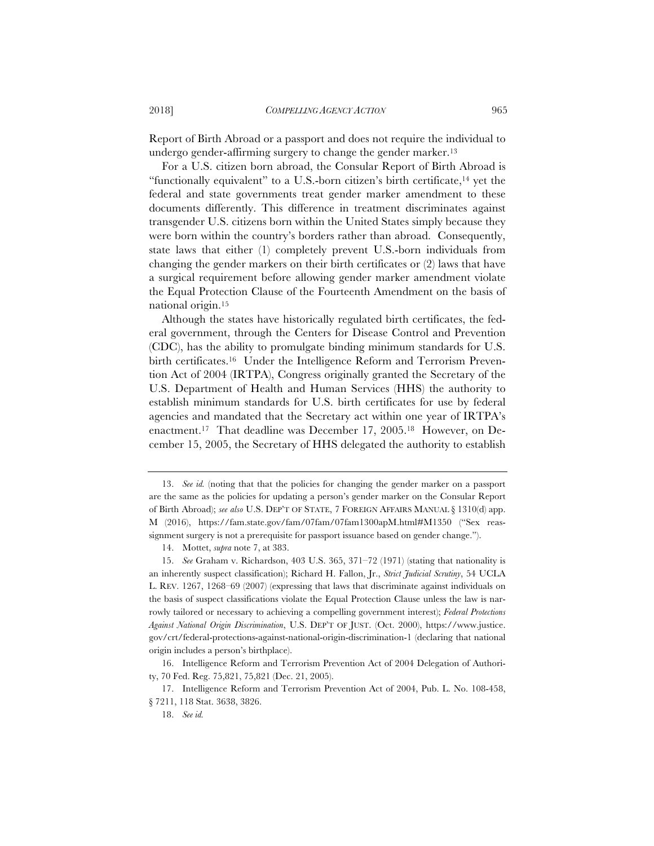Report of Birth Abroad or a passport and does not require the individual to undergo gender-affirming surgery to change the gender marker.13

For a U.S. citizen born abroad, the Consular Report of Birth Abroad is "functionally equivalent" to a U.S.-born citizen's birth certificate,  $14$  yet the federal and state governments treat gender marker amendment to these documents differently. This difference in treatment discriminates against transgender U.S. citizens born within the United States simply because they were born within the country's borders rather than abroad. Consequently, state laws that either (1) completely prevent U.S.-born individuals from changing the gender markers on their birth certificates or (2) laws that have a surgical requirement before allowing gender marker amendment violate the Equal Protection Clause of the Fourteenth Amendment on the basis of national origin.15

Although the states have historically regulated birth certificates, the federal government, through the Centers for Disease Control and Prevention (CDC), has the ability to promulgate binding minimum standards for U.S. birth certificates.<sup>16</sup> Under the Intelligence Reform and Terrorism Prevention Act of 2004 (IRTPA), Congress originally granted the Secretary of the U.S. Department of Health and Human Services (HHS) the authority to establish minimum standards for U.S. birth certificates for use by federal agencies and mandated that the Secretary act within one year of IRTPA's enactment.17 That deadline was December 17, 2005.18 However, on December 15, 2005, the Secretary of HHS delegated the authority to establish

<sup>13.</sup> *See id.* (noting that that the policies for changing the gender marker on a passport are the same as the policies for updating a person's gender marker on the Consular Report of Birth Abroad); *see also* U.S. DEP'T OF STATE,7FOREIGN AFFAIRS MANUAL § 1310(d) app. M (2016), https://fam.state.gov/fam/07fam/07fam1300apM.html#M1350 ("Sex reassignment surgery is not a prerequisite for passport issuance based on gender change.").

<sup>14.</sup> Mottet, *supra* note 7, at 383.

<sup>15.</sup> *See* Graham v. Richardson, 403 U.S. 365, 371–72 (1971) (stating that nationality is an inherently suspect classification); Richard H. Fallon, Jr., *Strict Judicial Scrutiny*, 54 UCLA L. REV. 1267, 1268–69 (2007) (expressing that laws that discriminate against individuals on the basis of suspect classifications violate the Equal Protection Clause unless the law is narrowly tailored or necessary to achieving a compelling government interest); *Federal Protections Against National Origin Discrimination*, U.S. DEP'T OF JUST. (Oct. 2000), https://www.justice. gov/crt/federal-protections-against-national-origin-discrimination-1 (declaring that national origin includes a person's birthplace).

<sup>16.</sup> Intelligence Reform and Terrorism Prevention Act of 2004 Delegation of Authority, 70 Fed. Reg. 75,821, 75,821 (Dec. 21, 2005).

<sup>17.</sup> Intelligence Reform and Terrorism Prevention Act of 2004, Pub. L. No. 108-458, § 7211, 118 Stat. 3638, 3826.

<sup>18.</sup> *See id.*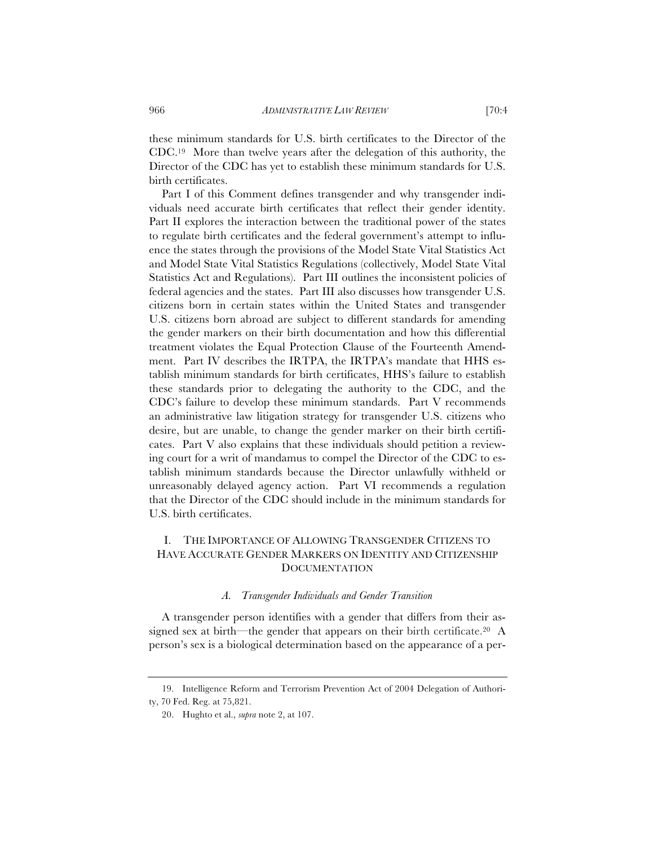these minimum standards for U.S. birth certificates to the Director of the CDC.19 More than twelve years after the delegation of this authority, the Director of the CDC has yet to establish these minimum standards for U.S. birth certificates.

Part I of this Comment defines transgender and why transgender individuals need accurate birth certificates that reflect their gender identity. Part II explores the interaction between the traditional power of the states to regulate birth certificates and the federal government's attempt to influence the states through the provisions of the Model State Vital Statistics Act and Model State Vital Statistics Regulations (collectively, Model State Vital Statistics Act and Regulations). Part III outlines the inconsistent policies of federal agencies and the states. Part III also discusses how transgender U.S. citizens born in certain states within the United States and transgender U.S. citizens born abroad are subject to different standards for amending the gender markers on their birth documentation and how this differential treatment violates the Equal Protection Clause of the Fourteenth Amendment. Part IV describes the IRTPA, the IRTPA's mandate that HHS establish minimum standards for birth certificates, HHS's failure to establish these standards prior to delegating the authority to the CDC, and the CDC's failure to develop these minimum standards. Part V recommends an administrative law litigation strategy for transgender U.S. citizens who desire, but are unable, to change the gender marker on their birth certificates. Part V also explains that these individuals should petition a reviewing court for a writ of mandamus to compel the Director of the CDC to establish minimum standards because the Director unlawfully withheld or unreasonably delayed agency action. Part VI recommends a regulation that the Director of the CDC should include in the minimum standards for U.S. birth certificates.

# I. THE IMPORTANCE OF ALLOWING TRANSGENDER CITIZENS TO HAVE ACCURATE GENDER MARKERS ON IDENTITY AND CITIZENSHIP **DOCUMENTATION**

#### *A. Transgender Individuals and Gender Transition*

A transgender person identifies with a gender that differs from their assigned sex at birth—the gender that appears on their birth certificate.20 A person's sex is a biological determination based on the appearance of a per-

<sup>19.</sup> Intelligence Reform and Terrorism Prevention Act of 2004 Delegation of Authority, 70 Fed. Reg. at 75,821.

<sup>20.</sup> Hughto et al., *supra* note 2, at 107.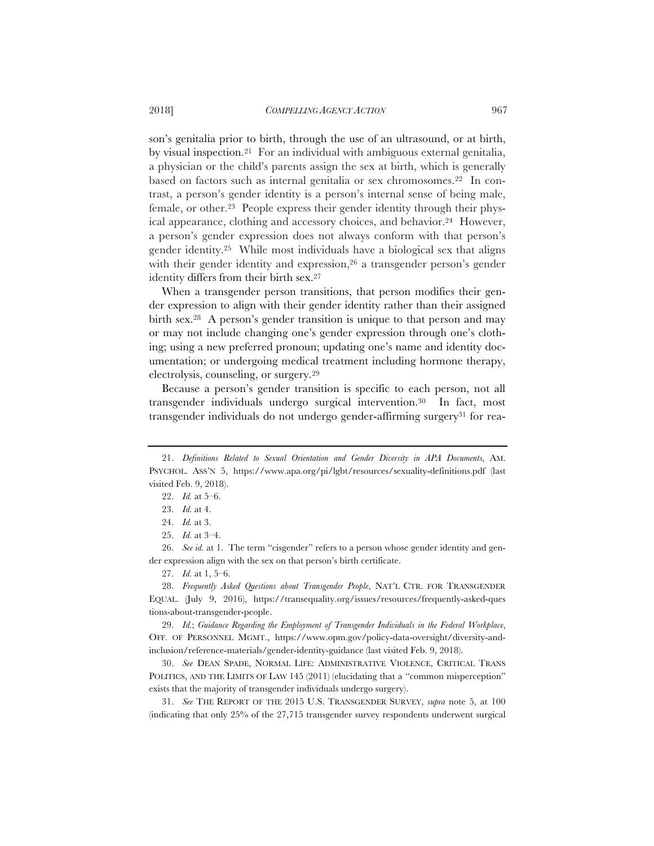son's genitalia prior to birth, through the use of an ultrasound, or at birth, by visual inspection.21 For an individual with ambiguous external genitalia, a physician or the child's parents assign the sex at birth, which is generally based on factors such as internal genitalia or sex chromosomes.22 In contrast, a person's gender identity is a person's internal sense of being male, female, or other.23 People express their gender identity through their physical appearance, clothing and accessory choices, and behavior.24 However, a person's gender expression does not always conform with that person's gender identity.25 While most individuals have a biological sex that aligns with their gender identity and expression,<sup>26</sup> a transgender person's gender identity differs from their birth sex.27

When a transgender person transitions, that person modifies their gender expression to align with their gender identity rather than their assigned birth sex.28 A person's gender transition is unique to that person and may or may not include changing one's gender expression through one's clothing; using a new preferred pronoun; updating one's name and identity documentation; or undergoing medical treatment including hormone therapy, electrolysis, counseling, or surgery.29

Because a person's gender transition is specific to each person, not all transgender individuals undergo surgical intervention.30 In fact, most transgender individuals do not undergo gender-affirming surgery<sup>31</sup> for rea-

29. *Id.*; *Guidance Regarding the Employment of Transgender Individuals in the Federal Workplace*, OFF. OF PERSONNEL MGMT., https://www.opm.gov/policy-data-oversight/diversity-andinclusion/reference-materials/gender-identity-guidance (last visited Feb. 9, 2018).

30. *See* DEAN SPADE, NORMAL LIFE: ADMINISTRATIVE VIOLENCE, CRITICAL TRANS POLITICS, AND THE LIMITS OF LAW 145 (2011) (elucidating that a "common misperception" exists that the majority of transgender individuals undergo surgery).

31. *See* THE REPORT OF THE 2015 U.S. TRANSGENDER SURVEY, *supra* note 5, at 100 (indicating that only 25% of the 27,715 transgender survey respondents underwent surgical

<sup>21.</sup> *Definitions Related to Sexual Orientation and Gender Diversity in APA Documents*, AM. PSYCHOL. ASS'N 5, https://www.apa.org/pi/lgbt/resources/sexuality-definitions.pdf (last visited Feb. 9, 2018).

<sup>22.</sup> *Id.* at 5–6.

<sup>23.</sup> *Id.* at 4.

<sup>24.</sup> *Id.* at 3.

<sup>25.</sup> *Id.* at 3–4.

<sup>26.</sup> *See id.* at 1. The term "cisgender" refers to a person whose gender identity and gender expression align with the sex on that person's birth certificate.

<sup>27.</sup> *Id.* at 1, 5–6.

<sup>28.</sup> *Frequently Asked Questions about Transgender People*, NAT'L CTR. FOR TRANSGENDER EQUAL. (July 9, 2016), https://transequality.org/issues/resources/frequently-asked-ques tions-about-transgender-people.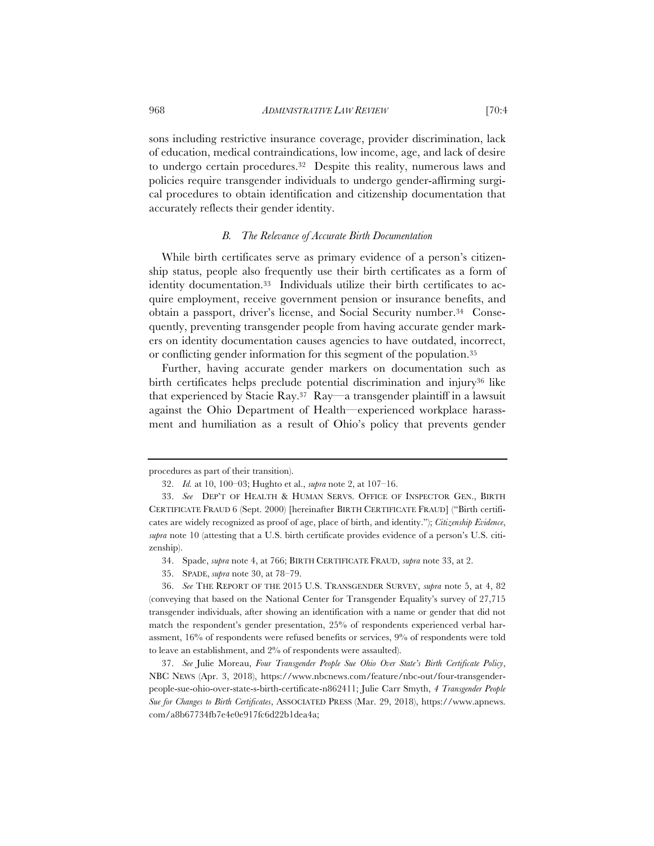sons including restrictive insurance coverage, provider discrimination, lack of education, medical contraindications, low income, age, and lack of desire to undergo certain procedures.32 Despite this reality, numerous laws and policies require transgender individuals to undergo gender-affirming surgical procedures to obtain identification and citizenship documentation that accurately reflects their gender identity.

# *B. The Relevance of Accurate Birth Documentation*

While birth certificates serve as primary evidence of a person's citizenship status, people also frequently use their birth certificates as a form of identity documentation.33 Individuals utilize their birth certificates to acquire employment, receive government pension or insurance benefits, and obtain a passport, driver's license, and Social Security number.34 Consequently, preventing transgender people from having accurate gender markers on identity documentation causes agencies to have outdated, incorrect, or conflicting gender information for this segment of the population.35

 Further, having accurate gender markers on documentation such as birth certificates helps preclude potential discrimination and injury<sup>36</sup> like that experienced by Stacie Ray.37 Ray—a transgender plaintiff in a lawsuit against the Ohio Department of Health—experienced workplace harassment and humiliation as a result of Ohio's policy that prevents gender

procedures as part of their transition).

<sup>32.</sup> *Id.* at 10, 100–03; Hughto et al., *supra* note 2, at 107–16.

<sup>33.</sup> *See* DEP'T OF HEALTH & HUMAN SERVS. OFFICE OF INSPECTOR GEN., BIRTH CERTIFICATE FRAUD 6 (Sept. 2000) [hereinafter BIRTH CERTIFICATE FRAUD] ("Birth certificates are widely recognized as proof of age, place of birth, and identity."); *Citizenship Evidence*, *supra* note 10 (attesting that a U.S. birth certificate provides evidence of a person's U.S. citizenship).

<sup>34.</sup> Spade, *supra* note 4, at 766; BIRTH CERTIFICATE FRAUD, *supra* note 33, at 2.

<sup>35.</sup> SPADE, *supra* note 30, at 78–79.

<sup>36.</sup> *See* THE REPORT OF THE 2015 U.S. TRANSGENDER SURVEY, *supra* note 5, at 4, 82 (conveying that based on the National Center for Transgender Equality's survey of 27,715 transgender individuals, after showing an identification with a name or gender that did not match the respondent's gender presentation, 25% of respondents experienced verbal harassment, 16% of respondents were refused benefits or services, 9% of respondents were told to leave an establishment, and 2% of respondents were assaulted).

<sup>37.</sup> *See* Julie Moreau, *Four Transgender People Sue Ohio Over State's Birth Certificate Policy*, NBC NEWS (Apr. 3, 2018), https://www.nbcnews.com/feature/nbc-out/four-transgenderpeople-sue-ohio-over-state-s-birth-certificate-n862411; Julie Carr Smyth, *4 Transgender People Sue for Changes to Birth Certificates*, ASSOCIATED PRESS (Mar. 29, 2018), https://www.apnews. com/a8b67734fb7e4e0e917fc6d22b1dea4a;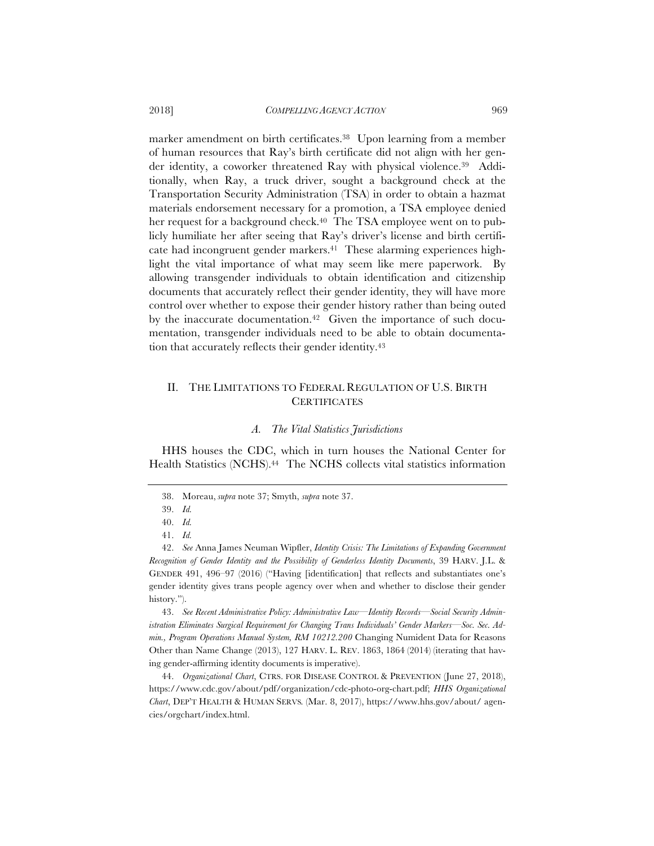marker amendment on birth certificates.38 Upon learning from a member of human resources that Ray's birth certificate did not align with her gender identity, a coworker threatened Ray with physical violence.39 Additionally, when Ray, a truck driver, sought a background check at the Transportation Security Administration (TSA) in order to obtain a hazmat materials endorsement necessary for a promotion, a TSA employee denied her request for a background check.<sup>40</sup> The TSA employee went on to publicly humiliate her after seeing that Ray's driver's license and birth certificate had incongruent gender markers.41 These alarming experiences highlight the vital importance of what may seem like mere paperwork. By allowing transgender individuals to obtain identification and citizenship documents that accurately reflect their gender identity, they will have more control over whether to expose their gender history rather than being outed by the inaccurate documentation.<sup>42</sup> Given the importance of such documentation, transgender individuals need to be able to obtain documentation that accurately reflects their gender identity.43

# II. THE LIMITATIONS TO FEDERAL REGULATION OF U.S. BIRTH **CERTIFICATES**

#### *A. The Vital Statistics Jurisdictions*

 HHS houses the CDC, which in turn houses the National Center for Health Statistics (NCHS).<sup>44</sup> The NCHS collects vital statistics information

43. *See Recent Administrative Policy: Administrative Law—Identity Records*—*Social Security Administration Eliminates Surgical Requirement for Changing Trans Individuals' Gender Markers—Soc. Sec. Admin., Program Operations Manual System, RM 10212.200* Changing Numident Data for Reasons Other than Name Change (2013), 127 HARV. L. REV. 1863, 1864 (2014) (iterating that having gender-affirming identity documents is imperative).

44. *Organizational Chart*, CTRS. FOR DISEASE CONTROL & PREVENTION (June 27, 2018), https://www.cdc.gov/about/pdf/organization/cdc-photo-org-chart.pdf; *HHS Organizational Chart*, DEP'T HEALTH & HUMAN SERVS*.* (Mar. 8, 2017), https://www.hhs.gov/about/ agencies/orgchart/index.html.

<sup>38.</sup> Moreau, *supra* note 37; Smyth, *supra* note 37.

<sup>39.</sup> *Id.*

<sup>40.</sup> *Id.*

<sup>41.</sup> *Id.*

<sup>42.</sup> *See* Anna James Neuman Wipfler, *Identity Crisis: The Limitations of Expanding Government Recognition of Gender Identity and the Possibility of Genderless Identity Documents*, 39 HARV. J.L. & GENDER 491, 496–97 (2016) ("Having [identification] that reflects and substantiates one's gender identity gives trans people agency over when and whether to disclose their gender history.").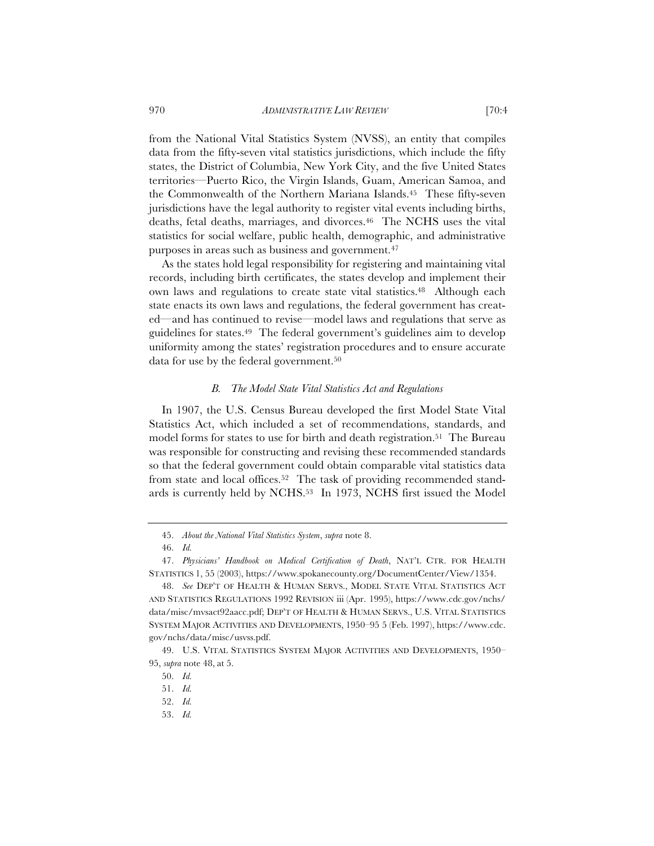from the National Vital Statistics System (NVSS), an entity that compiles data from the fifty-seven vital statistics jurisdictions, which include the fifty states, the District of Columbia, New York City, and the five United States territories—Puerto Rico, the Virgin Islands, Guam, American Samoa, and the Commonwealth of the Northern Mariana Islands.45 These fifty-seven jurisdictions have the legal authority to register vital events including births, deaths, fetal deaths, marriages, and divorces.46 The NCHS uses the vital statistics for social welfare, public health, demographic, and administrative purposes in areas such as business and government.47

As the states hold legal responsibility for registering and maintaining vital records, including birth certificates, the states develop and implement their own laws and regulations to create state vital statistics.<sup>48</sup> Although each state enacts its own laws and regulations, the federal government has created—and has continued to revise—model laws and regulations that serve as guidelines for states.49 The federal government's guidelines aim to develop uniformity among the states' registration procedures and to ensure accurate data for use by the federal government.50

#### *B. The Model State Vital Statistics Act and Regulations*

In 1907, the U.S. Census Bureau developed the first Model State Vital Statistics Act, which included a set of recommendations, standards, and model forms for states to use for birth and death registration.51 The Bureau was responsible for constructing and revising these recommended standards so that the federal government could obtain comparable vital statistics data from state and local offices.52 The task of providing recommended standards is currently held by NCHS.53 In 1973, NCHS first issued the Model

<sup>45.</sup> *About the National Vital Statistics System*, *supra* note 8.

<sup>46.</sup> *Id.*

<sup>47.</sup> *Physicians' Handbook on Medical Certification of Death*, NAT'L CTR. FOR HEALTH STATISTICS 1, 55 (2003), https://www.spokanecounty.org/DocumentCenter/View/1354.

<sup>48.</sup> *See* DEP'T OF HEALTH & HUMAN SERVS., MODEL STATE VITAL STATISTICS ACT AND STATISTICS REGULATIONS 1992 REVISION iii (Apr. 1995), https://www.cdc.gov/nchs/ data/misc/mvsact92aacc.pdf; DEP'T OF HEALTH & HUMAN SERVS., U.S. VITAL STATISTICS SYSTEM MAJOR ACTIVITIES AND DEVELOPMENTS, 1950–95 5 (Feb. 1997), https://www.cdc. gov/nchs/data/misc/usvss.pdf.

<sup>49.</sup> U.S. VITAL STATISTICS SYSTEM MAJOR ACTIVITIES AND DEVELOPMENTS, 1950– 95, *supra* note 48, at 5.

<sup>50.</sup> *Id.*

<sup>51.</sup> *Id.*

<sup>52.</sup> *Id.*

<sup>53.</sup> *Id.*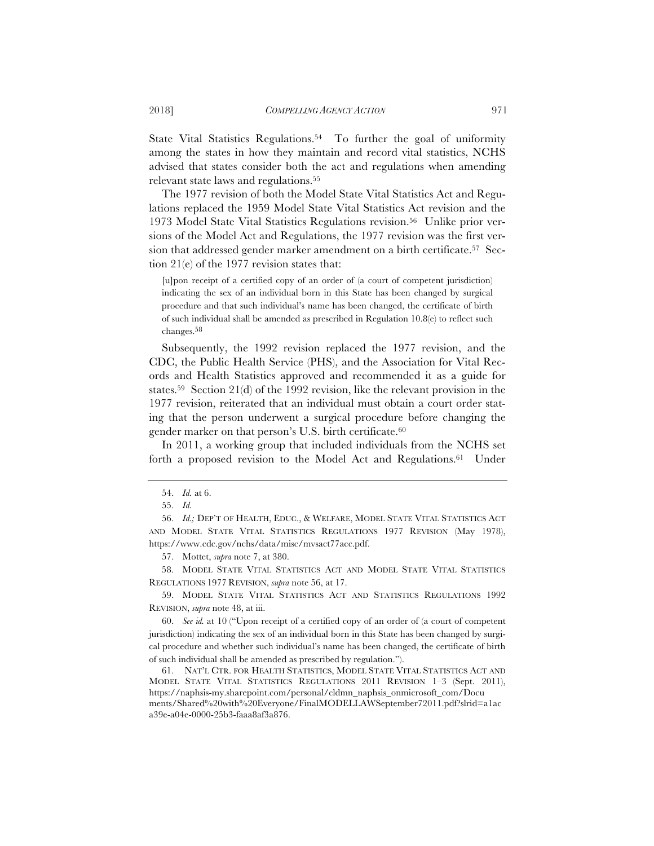State Vital Statistics Regulations.<sup>54</sup> To further the goal of uniformity among the states in how they maintain and record vital statistics, NCHS advised that states consider both the act and regulations when amending relevant state laws and regulations.55

The 1977 revision of both the Model State Vital Statistics Act and Regulations replaced the 1959 Model State Vital Statistics Act revision and the 1973 Model State Vital Statistics Regulations revision.56 Unlike prior versions of the Model Act and Regulations, the 1977 revision was the first version that addressed gender marker amendment on a birth certificate.57 Section 21(e) of the 1977 revision states that:

[u]pon receipt of a certified copy of an order of (a court of competent jurisdiction) indicating the sex of an individual born in this State has been changed by surgical procedure and that such individual's name has been changed, the certificate of birth of such individual shall be amended as prescribed in Regulation 10.8(e) to reflect such changes.58

Subsequently, the 1992 revision replaced the 1977 revision, and the CDC, the Public Health Service (PHS), and the Association for Vital Records and Health Statistics approved and recommended it as a guide for states.59 Section 21(d) of the 1992 revision, like the relevant provision in the 1977 revision, reiterated that an individual must obtain a court order stating that the person underwent a surgical procedure before changing the gender marker on that person's U.S. birth certificate.60

In 2011, a working group that included individuals from the NCHS set forth a proposed revision to the Model Act and Regulations.61 Under

57. Mottet, *supra* note 7, at 380.

59. MODEL STATE VITAL STATISTICS ACT AND STATISTICS REGULATIONS 1992 REVISION, *supra* note 48, at iii.

<sup>54.</sup> *Id.* at 6.

<sup>55.</sup> *Id.*

<sup>56.</sup> *Id.;* DEP'T OF HEALTH, EDUC., & WELFARE, MODEL STATE VITAL STATISTICS ACT AND MODEL STATE VITAL STATISTICS REGULATIONS 1977 REVISION (May 1978), https://www.cdc.gov/nchs/data/misc/mvsact77acc.pdf.

<sup>58.</sup> MODEL STATE VITAL STATISTICS ACT AND MODEL STATE VITAL STATISTICS REGULATIONS 1977 REVISION, *supra* note 56, at 17.

<sup>60.</sup> *See id.* at 10 ("Upon receipt of a certified copy of an order of (a court of competent jurisdiction) indicating the sex of an individual born in this State has been changed by surgical procedure and whether such individual's name has been changed, the certificate of birth of such individual shall be amended as prescribed by regulation.").

<sup>61.</sup> NAT'L CTR. FOR HEALTH STATISTICS, MODEL STATE VITAL STATISTICS ACT AND MODEL STATE VITAL STATISTICS REGULATIONS 2011 REVISION 1–3 (Sept. 2011), https://naphsis-my.sharepoint.com/personal/cldmn\_naphsis\_onmicrosoft\_com/Docu ments/Shared%20with%20Everyone/FinalMODELLAWSeptember72011.pdf?slrid=a1ac a39e-a04e-0000-25b3-faaa8af3a876.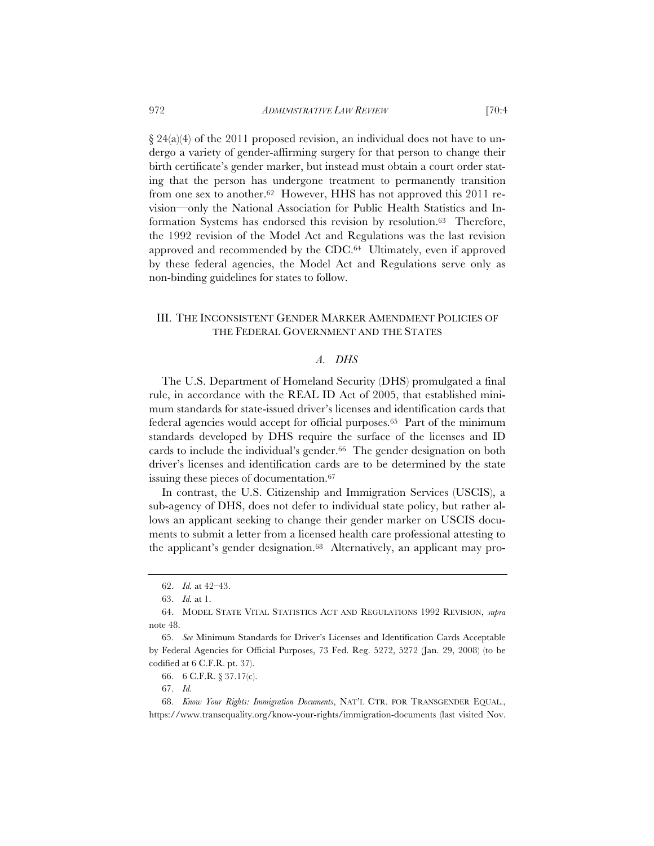$\S 24(a)(4)$  of the 2011 proposed revision, an individual does not have to undergo a variety of gender-affirming surgery for that person to change their birth certificate's gender marker, but instead must obtain a court order stating that the person has undergone treatment to permanently transition from one sex to another.62 However, HHS has not approved this 2011 revision—only the National Association for Public Health Statistics and Information Systems has endorsed this revision by resolution.63 Therefore, the 1992 revision of the Model Act and Regulations was the last revision approved and recommended by the CDC.64 Ultimately, even if approved by these federal agencies, the Model Act and Regulations serve only as non-binding guidelines for states to follow.

# III. THE INCONSISTENT GENDER MARKER AMENDMENT POLICIES OF THE FEDERAL GOVERNMENT AND THE STATES

# *A. DHS*

The U.S. Department of Homeland Security (DHS) promulgated a final rule, in accordance with the REAL ID Act of 2005, that established minimum standards for state-issued driver's licenses and identification cards that federal agencies would accept for official purposes.65 Part of the minimum standards developed by DHS require the surface of the licenses and ID cards to include the individual's gender.<sup>66</sup> The gender designation on both driver's licenses and identification cards are to be determined by the state issuing these pieces of documentation.67

In contrast, the U.S. Citizenship and Immigration Services (USCIS), a sub-agency of DHS, does not defer to individual state policy, but rather allows an applicant seeking to change their gender marker on USCIS documents to submit a letter from a licensed health care professional attesting to the applicant's gender designation.68 Alternatively, an applicant may pro-

<sup>62.</sup> *Id.* at 42–43.

<sup>63.</sup> *Id.* at 1.

<sup>64.</sup> MODEL STATE VITAL STATISTICS ACT AND REGULATIONS 1992 REVISION, *supra* note 48.

<sup>65.</sup> *See* Minimum Standards for Driver's Licenses and Identification Cards Acceptable by Federal Agencies for Official Purposes, 73 Fed. Reg. 5272, 5272 (Jan. 29, 2008) (to be codified at 6 C.F.R. pt. 37).

<sup>66. 6</sup> C.F.R. § 37.17(c).

<sup>67.</sup> *Id.*

<sup>68.</sup> *Know Your Rights: Immigration Documents*, NAT'L CTR. FOR TRANSGENDER EQUAL., https://www.transequality.org/know-your-rights/immigration-documents (last visited Nov.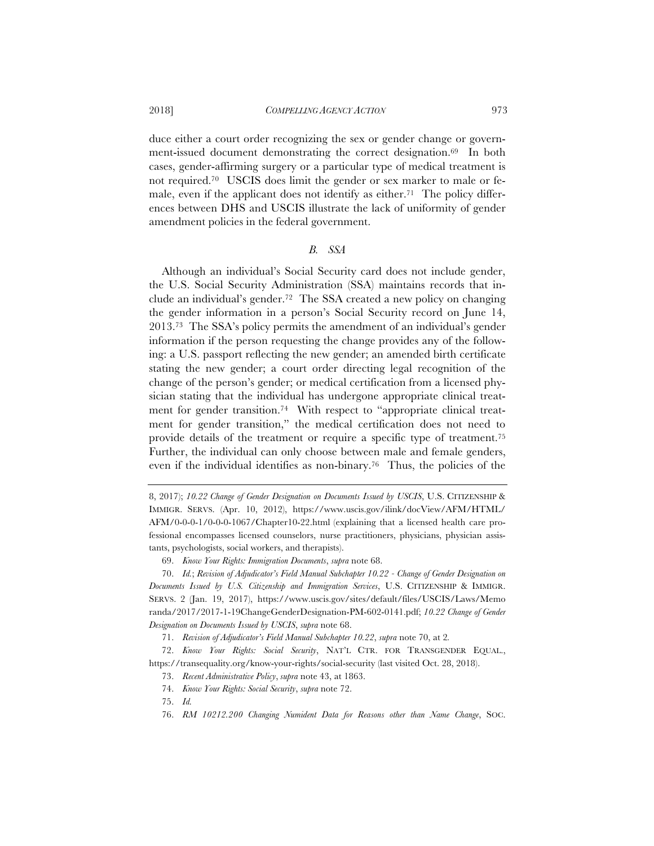#### 2018] *COMPELLING AGENCY ACTION* 973

duce either a court order recognizing the sex or gender change or government-issued document demonstrating the correct designation.<sup>69</sup> In both cases, gender-affirming surgery or a particular type of medical treatment is not required.70 USCIS does limit the gender or sex marker to male or female, even if the applicant does not identify as either.71 The policy differences between DHS and USCIS illustrate the lack of uniformity of gender amendment policies in the federal government.

#### *B. SSA*

Although an individual's Social Security card does not include gender, the U.S. Social Security Administration (SSA) maintains records that include an individual's gender.72 The SSA created a new policy on changing the gender information in a person's Social Security record on June 14, 2013.73 The SSA's policy permits the amendment of an individual's gender information if the person requesting the change provides any of the following: a U.S. passport reflecting the new gender; an amended birth certificate stating the new gender; a court order directing legal recognition of the change of the person's gender; or medical certification from a licensed physician stating that the individual has undergone appropriate clinical treatment for gender transition.<sup>74</sup> With respect to "appropriate clinical treatment for gender transition," the medical certification does not need to provide details of the treatment or require a specific type of treatment.75 Further, the individual can only choose between male and female genders, even if the individual identifies as non-binary.76 Thus, the policies of the

69. *Know Your Rights: Immigration Documents*, *supra* note 68.

70. *Id.*; *Revision of Adjudicator's Field Manual Subchapter 10.22 - Change of Gender Designation on Documents Issued by U.S. Citizenship and Immigration Services*, U.S. CITIZENSHIP & IMMIGR. SERVS. 2 (Jan. 19, 2017), https://www.uscis.gov/sites/default/files/USCIS/Laws/Memo randa/2017/2017-1-19ChangeGenderDesignation-PM-602-0141.pdf; *10.22 Change of Gender Designation on Documents Issued by USCIS*, *supra* note 68.

71. *Revision of Adjudicator's Field Manual Subchapter 10.22*, *supra* note 70, at 2*.*

72. *Know Your Rights: Social Security*, NAT'L CTR. FOR TRANSGENDER EQUAL., https://transequality.org/know-your-rights/social-security (last visited Oct. 28, 2018).

73. *Recent Administrative Policy*, *supra* note 43, at 1863.

74. *Know Your Rights: Social Security*, *supra* note 72.

75. *Id.*

<sup>8, 2017);</sup> *10.22 Change of Gender Designation on Documents Issued by USCIS*, U.S. CITIZENSHIP & IMMIGR. SERVS. (Apr. 10, 2012), https://www.uscis.gov/ilink/docView/AFM/HTML/ AFM/0-0-0-1/0-0-0-1067/Chapter10-22.html (explaining that a licensed health care professional encompasses licensed counselors, nurse practitioners, physicians, physician assistants, psychologists, social workers, and therapists).

<sup>76.</sup> *RM 10212.200 Changing Numident Data for Reasons other than Name Change*, SOC.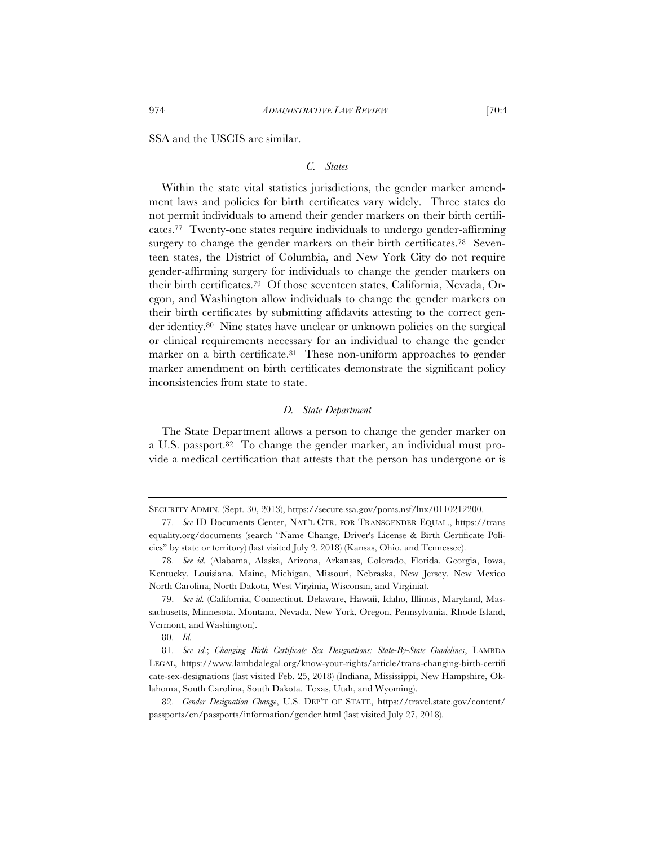SSA and the USCIS are similar.

# *C. States*

Within the state vital statistics jurisdictions, the gender marker amendment laws and policies for birth certificates vary widely. Three states do not permit individuals to amend their gender markers on their birth certificates.77 Twenty-one states require individuals to undergo gender-affirming surgery to change the gender markers on their birth certificates.<sup>78</sup> Seventeen states, the District of Columbia, and New York City do not require gender-affirming surgery for individuals to change the gender markers on their birth certificates.79 Of those seventeen states, California, Nevada, Oregon, and Washington allow individuals to change the gender markers on their birth certificates by submitting affidavits attesting to the correct gender identity.80 Nine states have unclear or unknown policies on the surgical or clinical requirements necessary for an individual to change the gender marker on a birth certificate.<sup>81</sup> These non-uniform approaches to gender marker amendment on birth certificates demonstrate the significant policy inconsistencies from state to state.

# *D. State Department*

The State Department allows a person to change the gender marker on a U.S. passport.82 To change the gender marker, an individual must provide a medical certification that attests that the person has undergone or is

SECURITY ADMIN. (Sept. 30, 2013), https://secure.ssa.gov/poms.nsf/lnx/0110212200.

<sup>77.</sup> *See* ID Documents Center, NAT'L CTR. FOR TRANSGENDER EQUAL., https://trans equality.org/documents (search "Name Change, Driver's License & Birth Certificate Policies" by state or territory) (last visited July 2, 2018) (Kansas, Ohio, and Tennessee).

<sup>78.</sup> *See id.* (Alabama, Alaska, Arizona, Arkansas, Colorado, Florida, Georgia, Iowa, Kentucky, Louisiana, Maine, Michigan, Missouri, Nebraska, New Jersey, New Mexico North Carolina, North Dakota, West Virginia, Wisconsin, and Virginia).

<sup>79.</sup> *See id.* (California, Connecticut, Delaware, Hawaii, Idaho, Illinois, Maryland, Massachusetts, Minnesota, Montana, Nevada, New York, Oregon, Pennsylvania, Rhode Island, Vermont, and Washington).

<sup>80.</sup> *Id.*

<sup>81.</sup> *See id.*; *Changing Birth Certificate Sex Designations: State-By-State Guidelines*, LAMBDA LEGAL, https://www.lambdalegal.org/know-your-rights/article/trans-changing-birth-certifi cate-sex-designations (last visited Feb. 25, 2018) (Indiana, Mississippi, New Hampshire, Oklahoma, South Carolina, South Dakota, Texas, Utah, and Wyoming).

<sup>82.</sup> *Gender Designation Change*, U.S. DEP'T OF STATE, https://travel.state.gov/content/ passports/en/passports/information/gender.html (last visited July 27, 2018).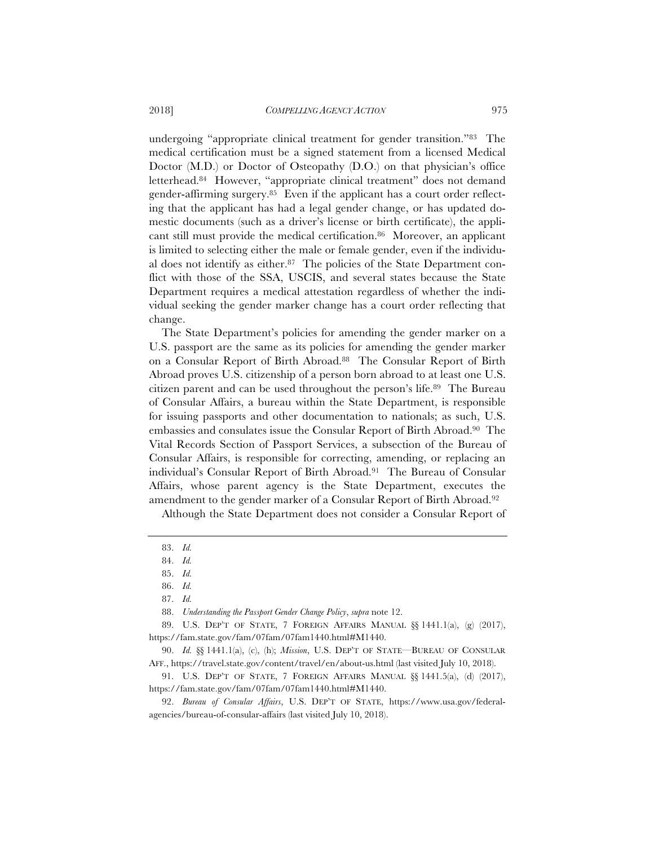undergoing "appropriate clinical treatment for gender transition."83 The medical certification must be a signed statement from a licensed Medical Doctor (M.D.) or Doctor of Osteopathy (D.O.) on that physician's office letterhead.84 However, "appropriate clinical treatment" does not demand gender-affirming surgery.85 Even if the applicant has a court order reflecting that the applicant has had a legal gender change, or has updated domestic documents (such as a driver's license or birth certificate), the applicant still must provide the medical certification.86 Moreover, an applicant is limited to selecting either the male or female gender, even if the individual does not identify as either.87 The policies of the State Department conflict with those of the SSA, USCIS, and several states because the State Department requires a medical attestation regardless of whether the individual seeking the gender marker change has a court order reflecting that change.

The State Department's policies for amending the gender marker on a U.S. passport are the same as its policies for amending the gender marker on a Consular Report of Birth Abroad.88 The Consular Report of Birth Abroad proves U.S. citizenship of a person born abroad to at least one U.S. citizen parent and can be used throughout the person's life.89 The Bureau of Consular Affairs, a bureau within the State Department, is responsible for issuing passports and other documentation to nationals; as such, U.S. embassies and consulates issue the Consular Report of Birth Abroad.90 The Vital Records Section of Passport Services, a subsection of the Bureau of Consular Affairs, is responsible for correcting, amending, or replacing an individual's Consular Report of Birth Abroad.91 The Bureau of Consular Affairs, whose parent agency is the State Department, executes the amendment to the gender marker of a Consular Report of Birth Abroad.92

Although the State Department does not consider a Consular Report of

<sup>83.</sup> *Id.*

<sup>84.</sup> *Id.*

<sup>85.</sup> *Id.*

<sup>86.</sup> *Id.*

<sup>87.</sup> *Id.*

<sup>88.</sup> *Understanding the Passport Gender Change Policy*, *supra* note 12.

<sup>89.</sup> U.S. DEP'T OF STATE, 7 FOREIGN AFFAIRS MANUAL  $\S$ [1441.1(a), (g) (2017), https://fam.state.gov/fam/07fam/07fam1440.html#M1440.

<sup>90.</sup> *Id.* §§ 1441.1(a), (c), (h); *Mission*, U.S. DEP'T OF STATE—BUREAU OF CONSULAR AFF., https://travel.state.gov/content/travel/en/about-us.html (last visited July 10, 2018).

<sup>91.</sup> U.S. DEP'T OF STATE, 7 FOREIGN AFFAIRS MANUAL §§ 1441.5(a), (d) (2017), https://fam.state.gov/fam/07fam/07fam1440.html#M1440.

<sup>92.</sup> *Bureau of Consular Affairs*, U.S. DEP'T OF STATE, https://www.usa.gov/federalagencies/bureau-of-consular-affairs (last visited July 10, 2018).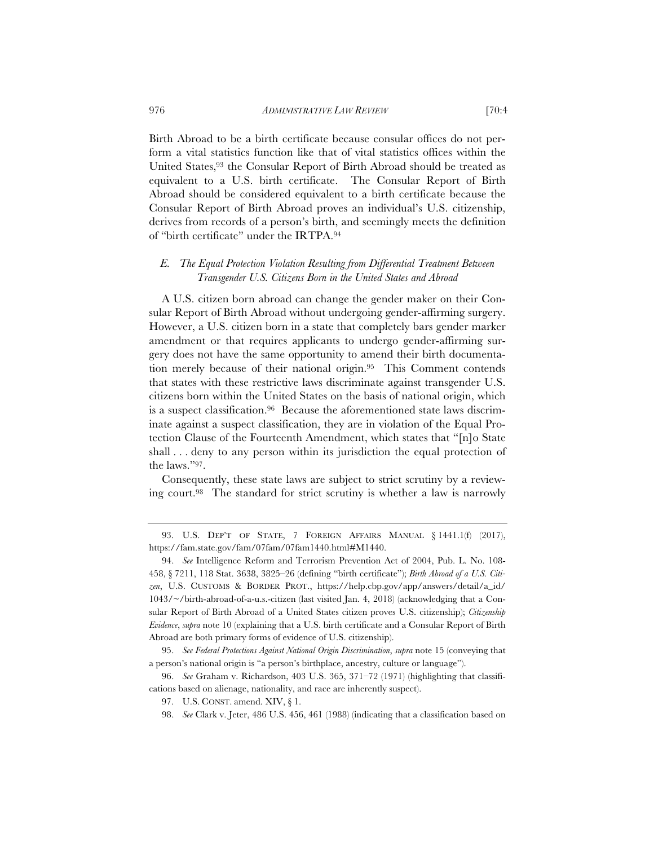Birth Abroad to be a birth certificate because consular offices do not perform a vital statistics function like that of vital statistics offices within the United States,93 the Consular Report of Birth Abroad should be treated as equivalent to a U.S. birth certificate. The Consular Report of Birth Abroad should be considered equivalent to a birth certificate because the Consular Report of Birth Abroad proves an individual's U.S. citizenship, derives from records of a person's birth, and seemingly meets the definition of "birth certificate" under the IRTPA.94

# *E. The Equal Protection Violation Resulting from Differential Treatment Between Transgender U.S. Citizens Born in the United States and Abroad*

 A U.S. citizen born abroad can change the gender maker on their Consular Report of Birth Abroad without undergoing gender-affirming surgery. However, a U.S. citizen born in a state that completely bars gender marker amendment or that requires applicants to undergo gender-affirming surgery does not have the same opportunity to amend their birth documentation merely because of their national origin.95 This Comment contends that states with these restrictive laws discriminate against transgender U.S. citizens born within the United States on the basis of national origin, which is a suspect classification.96 Because the aforementioned state laws discriminate against a suspect classification, they are in violation of the Equal Protection Clause of the Fourteenth Amendment, which states that "[n]o State shall ... deny to any person within its jurisdiction the equal protection of the laws."97.

Consequently, these state laws are subject to strict scrutiny by a reviewing court.98 The standard for strict scrutiny is whether a law is narrowly

<sup>93.</sup> U.S. DEP'T OF STATE, 7 FOREIGN AFFAIRS MANUAL § 1441.1(f) (2017), https://fam.state.gov/fam/07fam/07fam1440.html#M1440.

<sup>94.</sup> *See* Intelligence Reform and Terrorism Prevention Act of 2004, Pub. L. No. 108- 458, § 7211, 118 Stat. 3638, 3825–26 (defining "birth certificate"); *Birth Abroad of a U.S. Citizen*, U.S. CUSTOMS & BORDER PROT., https://help.cbp.gov/app/answers/detail/a\_id/ 1043/~/birth-abroad-of-a-u.s.-citizen (last visited Jan. 4, 2018) (acknowledging that a Consular Report of Birth Abroad of a United States citizen proves U.S. citizenship); *Citizenship Evidence*, *supra* note 10 (explaining that a U.S. birth certificate and a Consular Report of Birth Abroad are both primary forms of evidence of U.S. citizenship).

<sup>95.</sup> *See Federal Protections Against National Origin Discrimination*, *supra* note 15 (conveying that a person's national origin is "a person's birthplace, ancestry, culture or language").

<sup>96.</sup> *See* Graham v. Richardson, 403 U.S. 365, 371–72 (1971) (highlighting that classifications based on alienage, nationality, and race are inherently suspect).

<sup>97.</sup> U.S. CONST. amend. XIV, § 1.

<sup>98.</sup> *See* Clark v. Jeter, 486 U.S. 456, 461 (1988) (indicating that a classification based on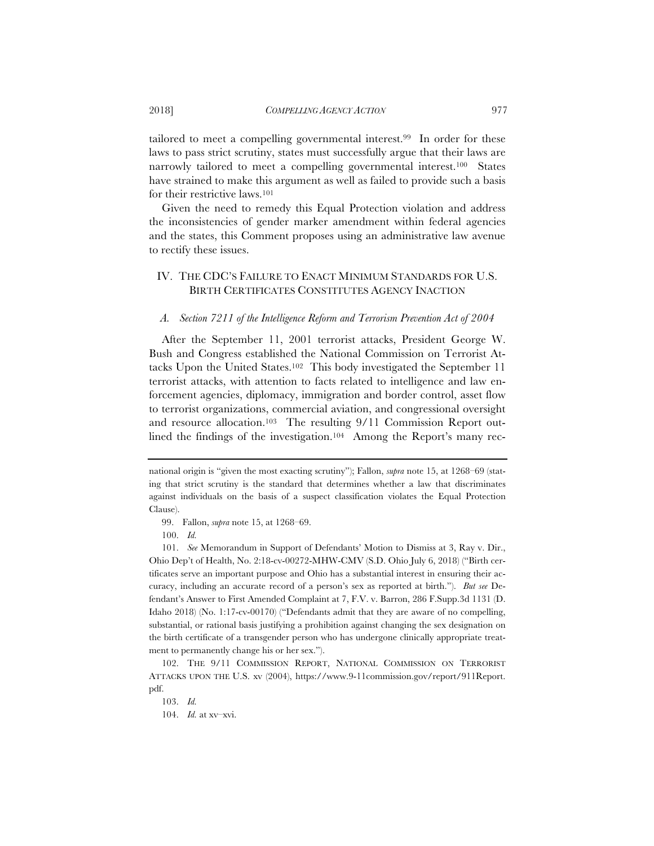tailored to meet a compelling governmental interest.99 In order for these laws to pass strict scrutiny, states must successfully argue that their laws are narrowly tailored to meet a compelling governmental interest.100 States have strained to make this argument as well as failed to provide such a basis for their restrictive laws.101

Given the need to remedy this Equal Protection violation and address the inconsistencies of gender marker amendment within federal agencies and the states, this Comment proposes using an administrative law avenue to rectify these issues.

# IV. THE CDC'S FAILURE TO ENACT MINIMUM STANDARDS FOR U.S. BIRTH CERTIFICATES CONSTITUTES AGENCY INACTION

#### *A. Section 7211 of the Intelligence Reform and Terrorism Prevention Act of 2004*

After the September 11, 2001 terrorist attacks, President George W. Bush and Congress established the National Commission on Terrorist Attacks Upon the United States.102 This body investigated the September 11 terrorist attacks, with attention to facts related to intelligence and law enforcement agencies, diplomacy, immigration and border control, asset flow to terrorist organizations, commercial aviation, and congressional oversight and resource allocation.103 The resulting 9/11 Commission Report outlined the findings of the investigation.<sup>104</sup> Among the Report's many rec-

national origin is "given the most exacting scrutiny"); Fallon, *supra* note 15, at 1268–69 (stating that strict scrutiny is the standard that determines whether a law that discriminates against individuals on the basis of a suspect classification violates the Equal Protection Clause).

<sup>99.</sup> Fallon, *supra* note 15, at 1268–69.

<sup>100.</sup> *Id.*

<sup>101.</sup> *See* Memorandum in Support of Defendants' Motion to Dismiss at 3, Ray v. Dir., Ohio Dep't of Health, No. 2:18-cv-00272-MHW-CMV (S.D. Ohio July 6, 2018) ("Birth certificates serve an important purpose and Ohio has a substantial interest in ensuring their accuracy, including an accurate record of a person's sex as reported at birth."). *But see* Defendant's Answer to First Amended Complaint at 7, F.V. v. Barron, 286 F.Supp.3d 1131 (D. Idaho 2018) (No. 1:17-cv-00170) ("Defendants admit that they are aware of no compelling, substantial, or rational basis justifying a prohibition against changing the sex designation on the birth certificate of a transgender person who has undergone clinically appropriate treatment to permanently change his or her sex.").

<sup>102.</sup> THE 9/11 COMMISSION REPORT, NATIONAL COMMISSION ON TERRORIST ATTACKS UPON THE U.S. xv (2004), https://www.9-11commission.gov/report/911Report. pdf.

<sup>103.</sup> *Id.*

<sup>104.</sup> *Id.* at xv–xvi.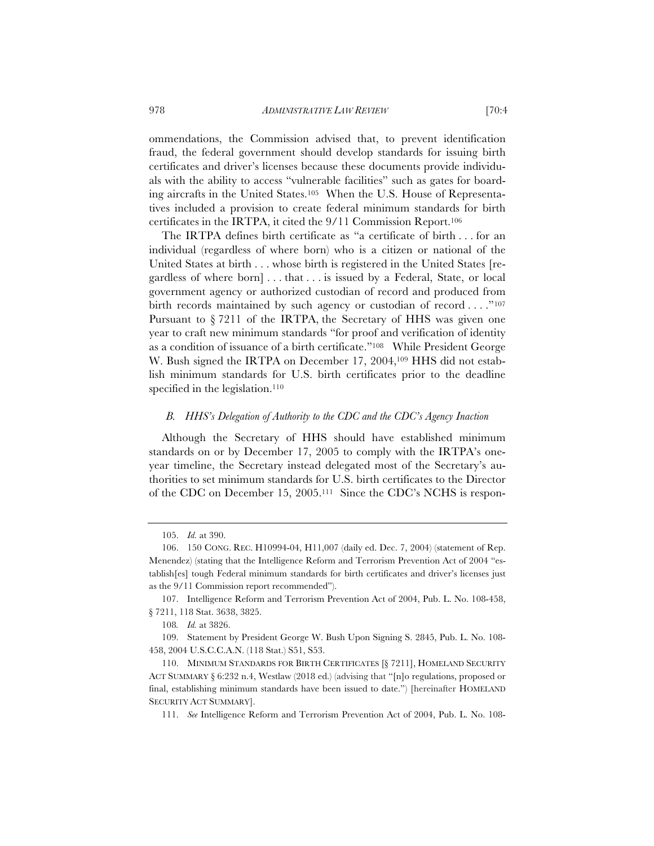ommendations, the Commission advised that, to prevent identification fraud, the federal government should develop standards for issuing birth certificates and driver's licenses because these documents provide individuals with the ability to access "vulnerable facilities" such as gates for boarding aircrafts in the United States.105 When the U.S. House of Representatives included a provision to create federal minimum standards for birth certificates in the IRTPA, it cited the 9/11 Commission Report.106

The IRTPA defines birth certificate as "a certificate of birth . . . for an individual (regardless of where born) who is a citizen or national of the United States at birth . . . whose birth is registered in the United States [regardless of where born] . . . that . . . is issued by a Federal, State, or local government agency or authorized custodian of record and produced from birth records maintained by such agency or custodian of record . . . . "107 Pursuant to § 7211 of the IRTPA, the Secretary of HHS was given one year to craft new minimum standards "for proof and verification of identity as a condition of issuance of a birth certificate."108 While President George W. Bush signed the IRTPA on December 17, 2004,<sup>109</sup> HHS did not establish minimum standards for U.S. birth certificates prior to the deadline specified in the legislation.<sup>110</sup>

#### *B. HHS's Delegation of Authority to the CDC and the CDC's Agency Inaction*

Although the Secretary of HHS should have established minimum standards on or by December 17, 2005 to comply with the IRTPA's oneyear timeline, the Secretary instead delegated most of the Secretary's authorities to set minimum standards for U.S. birth certificates to the Director of the CDC on December 15, 2005.111 Since the CDC's NCHS is respon-

<sup>105.</sup> *Id.* at 390.

<sup>106. 150</sup> CONG. REC. H10994-04, H11,007 (daily ed. Dec. 7, 2004) (statement of Rep. Menendez) (stating that the Intelligence Reform and Terrorism Prevention Act of 2004 "establish[es] tough Federal minimum standards for birth certificates and driver's licenses just as the 9/11 Commission report recommended").

<sup>107.</sup> Intelligence Reform and Terrorism Prevention Act of 2004, Pub. L. No. 108-458, § 7211, 118 Stat. 3638, 3825.

<sup>108</sup>*. Id.* at 3826.

<sup>109.</sup> Statement by President George W. Bush Upon Signing S. 2845, Pub. L. No. 108- 458, 2004 U.S.C.C.A.N. (118 Stat.) S51, S53.

<sup>110.</sup> MINIMUM STANDARDS FOR BIRTH CERTIFICATES [§ 7211], HOMELAND SECURITY ACT SUMMARY § 6:232 n.4, Westlaw (2018 ed.) (advising that "[n]o regulations, proposed or final, establishing minimum standards have been issued to date.") [hereinafter HOMELAND SECURITY ACT SUMMARY].

<sup>111.</sup> *See* Intelligence Reform and Terrorism Prevention Act of 2004, Pub. L. No. 108-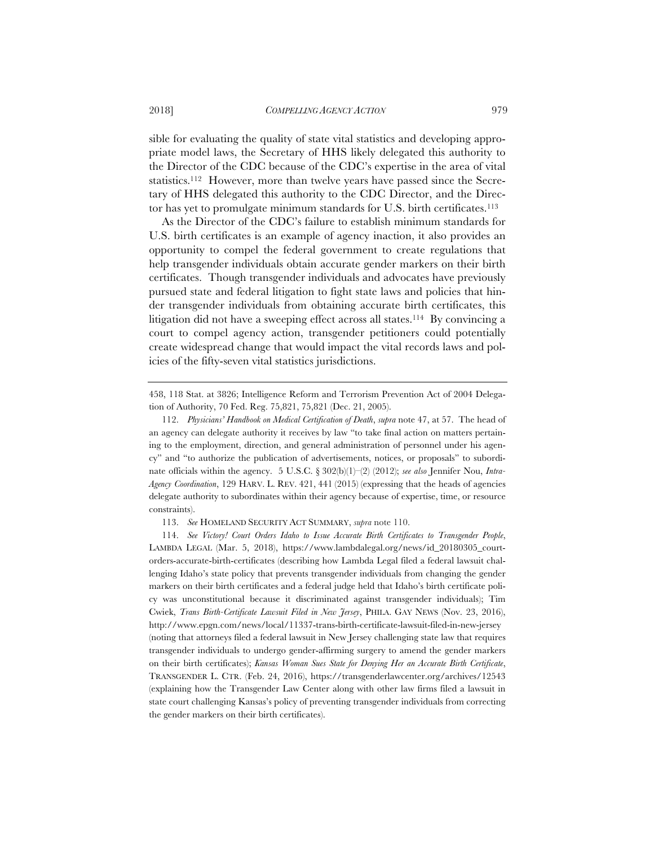sible for evaluating the quality of state vital statistics and developing appropriate model laws, the Secretary of HHS likely delegated this authority to the Director of the CDC because of the CDC's expertise in the area of vital statistics.112 However, more than twelve years have passed since the Secretary of HHS delegated this authority to the CDC Director, and the Director has yet to promulgate minimum standards for U.S. birth certificates.113

As the Director of the CDC's failure to establish minimum standards for U.S. birth certificates is an example of agency inaction, it also provides an opportunity to compel the federal government to create regulations that help transgender individuals obtain accurate gender markers on their birth certificates. Though transgender individuals and advocates have previously pursued state and federal litigation to fight state laws and policies that hinder transgender individuals from obtaining accurate birth certificates, this litigation did not have a sweeping effect across all states.<sup>114</sup> By convincing a court to compel agency action, transgender petitioners could potentially create widespread change that would impact the vital records laws and policies of the fifty-seven vital statistics jurisdictions.

458, 118 Stat. at 3826; Intelligence Reform and Terrorism Prevention Act of 2004 Delegation of Authority, 70 Fed. Reg. 75,821, 75,821 (Dec. 21, 2005).

113. *See* HOMELAND SECURITY ACT SUMMARY, *supra* note 110.

<sup>112.</sup> *Physicians' Handbook on Medical Certification of Death*, *supra* note 47, at 57. The head of an agency can delegate authority it receives by law "to take final action on matters pertaining to the employment, direction, and general administration of personnel under his agency" and "to authorize the publication of advertisements, notices, or proposals" to subordinate officials within the agency. 5 U.S.C. § 302(b)(1)–(2) (2012); *see also* Jennifer Nou, *Intra-Agency Coordination*, 129 HARV. L. REV. 421, 441 (2015) (expressing that the heads of agencies delegate authority to subordinates within their agency because of expertise, time, or resource constraints).

<sup>114.</sup> *See Victory! Court Orders Idaho to Issue Accurate Birth Certificates to Transgender People*, LAMBDA LEGAL (Mar. 5, 2018), https://www.lambdalegal.org/news/id\_20180305\_courtorders-accurate-birth-certificates (describing how Lambda Legal filed a federal lawsuit challenging Idaho's state policy that prevents transgender individuals from changing the gender markers on their birth certificates and a federal judge held that Idaho's birth certificate policy was unconstitutional because it discriminated against transgender individuals); Tim Cwiek, *Trans Birth-Certificate Lawsuit Filed in New Jersey*, PHILA. GAY NEWS (Nov. 23, 2016), http://www.epgn.com/news/local/11337-trans-birth-certificate-lawsuit-filed-in-new-jersey (noting that attorneys filed a federal lawsuit in New Jersey challenging state law that requires transgender individuals to undergo gender-affirming surgery to amend the gender markers on their birth certificates); *Kansas Woman Sues State for Denying Her an Accurate Birth Certificate*, TRANSGENDER L. CTR. (Feb. 24, 2016), https://transgenderlawcenter.org/archives/12543 (explaining how the Transgender Law Center along with other law firms filed a lawsuit in state court challenging Kansas's policy of preventing transgender individuals from correcting the gender markers on their birth certificates).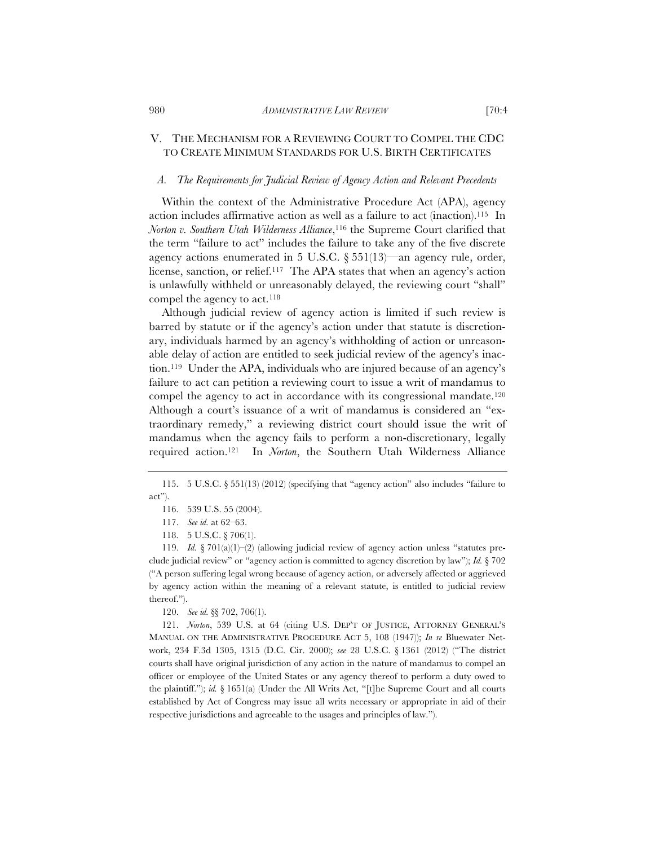# V. THE MECHANISM FOR A REVIEWING COURT TO COMPEL THE CDC TO CREATE MINIMUM STANDARDS FOR U.S. BIRTH CERTIFICATES

#### *A. The Requirements for Judicial Review of Agency Action and Relevant Precedents*

Within the context of the Administrative Procedure Act (APA), agency action includes affirmative action as well as a failure to act (inaction).115 In *Norton v. Southern Utah Wilderness Alliance*,116 the Supreme Court clarified that the term "failure to act" includes the failure to take any of the five discrete agency actions enumerated in 5 U.S.C. § 551(13)—an agency rule, order, license, sanction, or relief.117 The APA states that when an agency's action is unlawfully withheld or unreasonably delayed, the reviewing court "shall" compel the agency to act.118

Although judicial review of agency action is limited if such review is barred by statute or if the agency's action under that statute is discretionary, individuals harmed by an agency's withholding of action or unreasonable delay of action are entitled to seek judicial review of the agency's inaction.119 Under the APA, individuals who are injured because of an agency's failure to act can petition a reviewing court to issue a writ of mandamus to compel the agency to act in accordance with its congressional mandate.120 Although a court's issuance of a writ of mandamus is considered an "extraordinary remedy," a reviewing district court should issue the writ of mandamus when the agency fails to perform a non-discretionary, legally required action.121 In *Norton*, the Southern Utah Wilderness Alliance

120. *See id.* §§ 702, 706(1).

121. *Norton*, 539 U.S. at 64 (citing U.S. DEP'T OF JUSTICE, ATTORNEY GENERAL'S MANUAL ON THE ADMINISTRATIVE PROCEDURE ACT 5, 108 (1947)); *In re* Bluewater Network, 234 F.3d 1305, 1315 (D.C. Cir. 2000); *see* 28 U.S.C. § 1361 (2012) ("The district courts shall have original jurisdiction of any action in the nature of mandamus to compel an officer or employee of the United States or any agency thereof to perform a duty owed to the plaintiff."); *id.* § 1651(a) (Under the All Writs Act, "[t]he Supreme Court and all courts established by Act of Congress may issue all writs necessary or appropriate in aid of their respective jurisdictions and agreeable to the usages and principles of law.").

<sup>115. 5</sup> U.S.C. § 551(13) (2012) (specifying that "agency action" also includes "failure to act").

<sup>116. 539</sup> U.S. 55 (2004).

<sup>117.</sup> *See id.* at 62–63.

<sup>118. 5</sup> U.S.C. § 706(1).

<sup>119.</sup> *Id.* § 701(a)(1)–(2) (allowing judicial review of agency action unless "statutes preclude judicial review" or "agency action is committed to agency discretion by law"); *Id.* § 702 ("A person suffering legal wrong because of agency action, or adversely affected or aggrieved by agency action within the meaning of a relevant statute, is entitled to judicial review thereof.").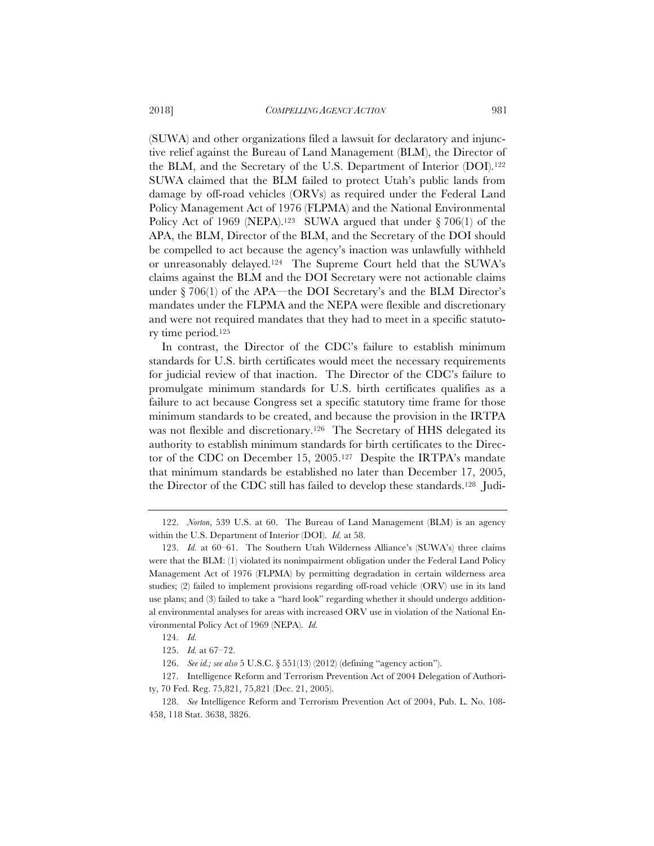(SUWA) and other organizations filed a lawsuit for declaratory and injunctive relief against the Bureau of Land Management (BLM), the Director of the BLM, and the Secretary of the U.S. Department of Interior (DOI).122 SUWA claimed that the BLM failed to protect Utah's public lands from damage by off-road vehicles (ORVs) as required under the Federal Land Policy Management Act of 1976 (FLPMA) and the National Environmental Policy Act of 1969 (NEPA).<sup>123</sup> SUWA argued that under  $\S 706(1)$  of the APA, the BLM, Director of the BLM, and the Secretary of the DOI should be compelled to act because the agency's inaction was unlawfully withheld or unreasonably delayed.124 The Supreme Court held that the SUWA's claims against the BLM and the DOI Secretary were not actionable claims under  $\S 706(1)$  of the APA—the DOI Secretary's and the BLM Director's mandates under the FLPMA and the NEPA were flexible and discretionary and were not required mandates that they had to meet in a specific statutory time period.125

In contrast, the Director of the CDC's failure to establish minimum standards for U.S. birth certificates would meet the necessary requirements for judicial review of that inaction. The Director of the CDC's failure to promulgate minimum standards for U.S. birth certificates qualifies as a failure to act because Congress set a specific statutory time frame for those minimum standards to be created, and because the provision in the IRTPA was not flexible and discretionary.<sup>126</sup> The Secretary of HHS delegated its authority to establish minimum standards for birth certificates to the Director of the CDC on December 15, 2005.127 Despite the IRTPA's mandate that minimum standards be established no later than December 17, 2005, the Director of the CDC still has failed to develop these standards.128 Judi-

<sup>122.</sup> *Norton*, 539 U.S. at 60. The Bureau of Land Management (BLM) is an agency within the U.S. Department of Interior (DOI). *Id.* at 58.

<sup>123.</sup> *Id.* at 60–61. The Southern Utah Wilderness Alliance's (SUWA's) three claims were that the BLM: (1) violated its nonimpairment obligation under the Federal Land Policy Management Act of 1976 (FLPMA) by permitting degradation in certain wilderness area studies; (2) failed to implement provisions regarding off-road vehicle (ORV) use in its land use plans; and (3) failed to take a "hard look" regarding whether it should undergo additional environmental analyses for areas with increased ORV use in violation of the National Environmental Policy Act of 1969 (NEPA). *Id.*

<sup>124.</sup> *Id.*

<sup>125.</sup> *Id.* at 67–72.

<sup>126.</sup> *See id.; see also* 5 U.S.C. § 551(13) (2012) (defining "agency action").

<sup>127.</sup> Intelligence Reform and Terrorism Prevention Act of 2004 Delegation of Authority, 70 Fed. Reg. 75,821, 75,821 (Dec. 21, 2005).

<sup>128.</sup> *See* Intelligence Reform and Terrorism Prevention Act of 2004, Pub. L. No. 108- 458, 118 Stat. 3638, 3826.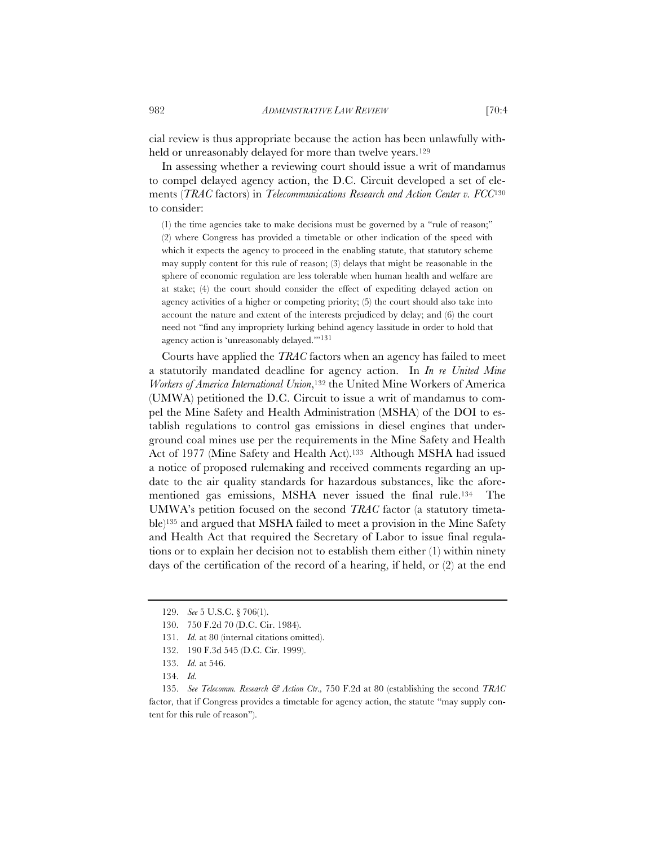cial review is thus appropriate because the action has been unlawfully withheld or unreasonably delayed for more than twelve years.<sup>129</sup>

In assessing whether a reviewing court should issue a writ of mandamus to compel delayed agency action, the D.C. Circuit developed a set of elements (*TRAC* factors) in *Telecommunications Research and Action Center v. FCC*<sup>130</sup> to consider:

(1) the time agencies take to make decisions must be governed by a "rule of reason;" (2) where Congress has provided a timetable or other indication of the speed with which it expects the agency to proceed in the enabling statute, that statutory scheme may supply content for this rule of reason; (3) delays that might be reasonable in the sphere of economic regulation are less tolerable when human health and welfare are at stake; (4) the court should consider the effect of expediting delayed action on agency activities of a higher or competing priority; (5) the court should also take into account the nature and extent of the interests prejudiced by delay; and (6) the court need not "find any impropriety lurking behind agency lassitude in order to hold that agency action is 'unreasonably delayed.'"131

Courts have applied the *TRAC* factors when an agency has failed to meet a statutorily mandated deadline for agency action. In *In re United Mine Workers of America International Union*,132 the United Mine Workers of America (UMWA) petitioned the D.C. Circuit to issue a writ of mandamus to compel the Mine Safety and Health Administration (MSHA) of the DOI to establish regulations to control gas emissions in diesel engines that underground coal mines use per the requirements in the Mine Safety and Health Act of 1977 (Mine Safety and Health Act).133 Although MSHA had issued a notice of proposed rulemaking and received comments regarding an update to the air quality standards for hazardous substances, like the aforementioned gas emissions, MSHA never issued the final rule.<sup>134</sup> UMWA's petition focused on the second *TRAC* factor (a statutory timetable)135 and argued that MSHA failed to meet a provision in the Mine Safety and Health Act that required the Secretary of Labor to issue final regulations or to explain her decision not to establish them either (1) within ninety days of the certification of the record of a hearing, if held, or (2) at the end

<sup>129.</sup> *See* 5 U.S.C. § 706(1).

<sup>130. 750</sup> F.2d 70 (D.C. Cir. 1984).

<sup>131.</sup> *Id.* at 80 (internal citations omitted).

<sup>132. 190</sup> F.3d 545 (D.C. Cir. 1999).

<sup>133.</sup> *Id.* at 546.

<sup>134.</sup> *Id.*

<sup>135.</sup> *See Telecomm. Research & Action Ctr.,* 750 F.2d at 80 (establishing the second *TRAC* factor, that if Congress provides a timetable for agency action, the statute "may supply content for this rule of reason").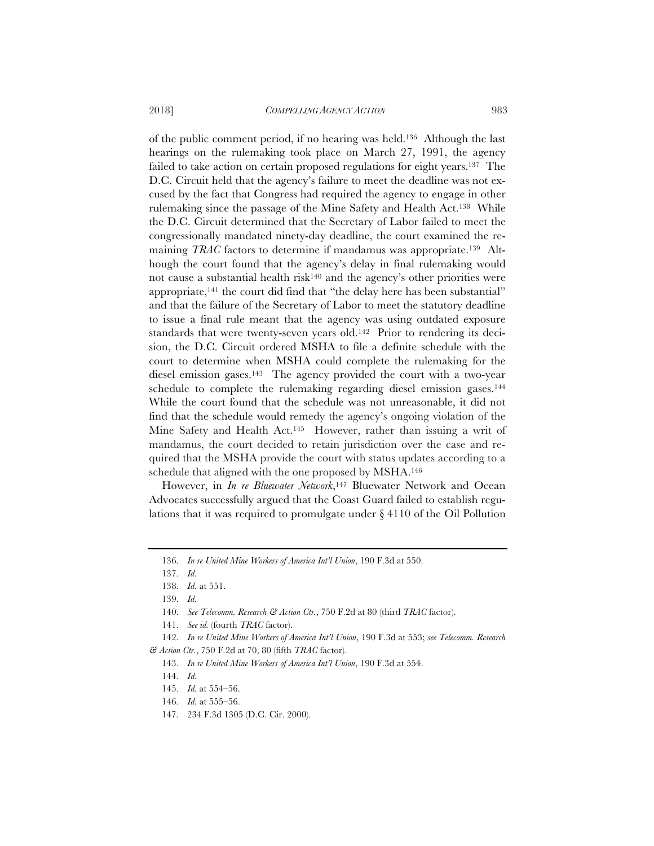2018] *COMPELLING AGENCY ACTION* 983

of the public comment period, if no hearing was held.136 Although the last hearings on the rulemaking took place on March 27, 1991, the agency failed to take action on certain proposed regulations for eight years.137 The D.C. Circuit held that the agency's failure to meet the deadline was not excused by the fact that Congress had required the agency to engage in other rulemaking since the passage of the Mine Safety and Health Act.138 While the D.C. Circuit determined that the Secretary of Labor failed to meet the congressionally mandated ninety-day deadline, the court examined the remaining *TRAC* factors to determine if mandamus was appropriate.139 Although the court found that the agency's delay in final rulemaking would not cause a substantial health risk140 and the agency's other priorities were appropriate,141 the court did find that "the delay here has been substantial" and that the failure of the Secretary of Labor to meet the statutory deadline to issue a final rule meant that the agency was using outdated exposure standards that were twenty-seven years old.142 Prior to rendering its decision, the D.C. Circuit ordered MSHA to file a definite schedule with the court to determine when MSHA could complete the rulemaking for the diesel emission gases.<sup>143</sup> The agency provided the court with a two-year schedule to complete the rulemaking regarding diesel emission gases.144 While the court found that the schedule was not unreasonable, it did not find that the schedule would remedy the agency's ongoing violation of the Mine Safety and Health Act.<sup>145</sup> However, rather than issuing a writ of mandamus, the court decided to retain jurisdiction over the case and required that the MSHA provide the court with status updates according to a schedule that aligned with the one proposed by MSHA.146

However, in *In re Bluewater Network*,<sup>147</sup> Bluewater Network and Ocean Advocates successfully argued that the Coast Guard failed to establish regulations that it was required to promulgate under § 4110 of the Oil Pollution

<sup>136.</sup> *In re United Mine Workers of America Int'l Union*, 190 F.3d at 550.

<sup>137.</sup> *Id.*

<sup>138.</sup> *Id.* at 551.

<sup>139.</sup> *Id.*

<sup>140.</sup> *See Telecomm. Research & Action Ctr.*, 750 F.2d at 80 (third *TRAC* factor).

<sup>141.</sup> *See id.* (fourth *TRAC* factor).

<sup>142.</sup> *In re United Mine Workers of America Int'l Union*, 190 F.3d at 553; *see Telecomm. Research & Action Ctr.*, 750 F.2d at 70, 80 (fifth *TRAC* factor).

<sup>143.</sup> *In re United Mine Workers of America Int'l Union*, 190 F.3d at 554.

<sup>144.</sup> *Id.*

<sup>145.</sup> *Id.* at 554–56.

<sup>146.</sup> *Id.* at 555–56.

<sup>147. 234</sup> F.3d 1305 (D.C. Cir. 2000).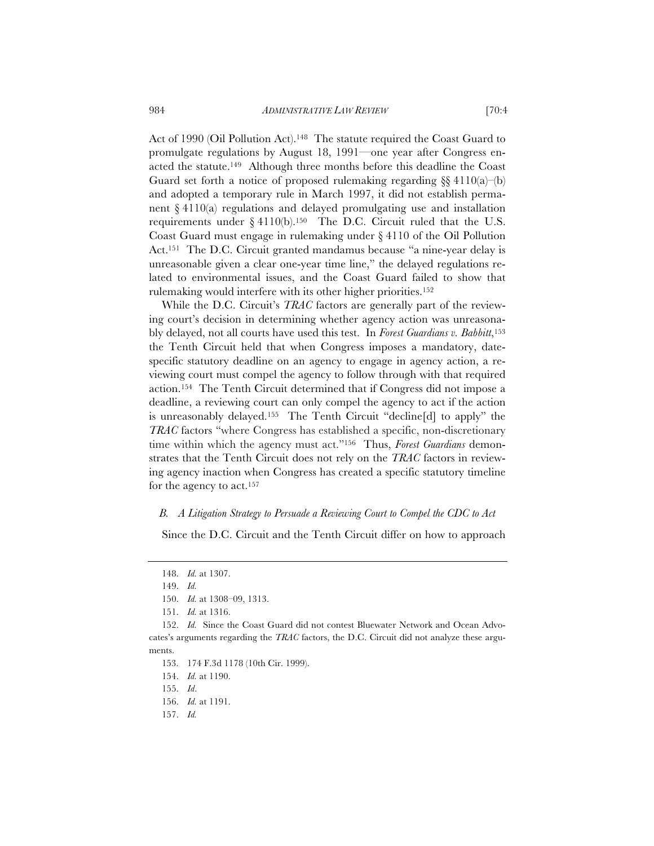Act of 1990 (Oil Pollution Act).<sup>148</sup> The statute required the Coast Guard to promulgate regulations by August 18, 1991—one year after Congress enacted the statute.149 Although three months before this deadline the Coast Guard set forth a notice of proposed rulemaking regarding  $\S$  4110(a)–(b) and adopted a temporary rule in March 1997, it did not establish permanent  $\S 4110(a)$  regulations and delayed promulgating use and installation requirements under  $\S 4110(b)$ .<sup>150</sup> The D.C. Circuit ruled that the U.S. Coast Guard must engage in rulemaking under § 4110 of the Oil Pollution Act.151 The D.C. Circuit granted mandamus because "a nine-year delay is unreasonable given a clear one-year time line," the delayed regulations related to environmental issues, and the Coast Guard failed to show that rulemaking would interfere with its other higher priorities.152

While the D.C. Circuit's *TRAC* factors are generally part of the reviewing court's decision in determining whether agency action was unreasonably delayed, not all courts have used this test. In *Forest Guardians v. Babbitt*,153 the Tenth Circuit held that when Congress imposes a mandatory, datespecific statutory deadline on an agency to engage in agency action, a reviewing court must compel the agency to follow through with that required action.154 The Tenth Circuit determined that if Congress did not impose a deadline, a reviewing court can only compel the agency to act if the action is unreasonably delayed.155 The Tenth Circuit "decline[d] to apply" the *TRAC* factors "where Congress has established a specific, non-discretionary time within which the agency must act."156 Thus, *Forest Guardians* demonstrates that the Tenth Circuit does not rely on the *TRAC* factors in reviewing agency inaction when Congress has created a specific statutory timeline for the agency to act.157

#### *B. A Litigation Strategy to Persuade a Reviewing Court to Compel the CDC to Act*

Since the D.C. Circuit and the Tenth Circuit differ on how to approach

<sup>148.</sup> *Id.* at 1307.

<sup>149.</sup> *Id.*

<sup>150.</sup> *Id.* at 1308–09, 1313.

<sup>151.</sup> *Id.* at 1316.

<sup>152.</sup> *Id.* Since the Coast Guard did not contest Bluewater Network and Ocean Advocates's arguments regarding the *TRAC* factors, the D.C. Circuit did not analyze these arguments.

<sup>153. 174</sup> F.3d 1178 (10th Cir. 1999).

<sup>154.</sup> *Id.* at 1190.

<sup>155.</sup> *Id*.

<sup>156.</sup> *Id.* at 1191.

<sup>157.</sup> *Id.*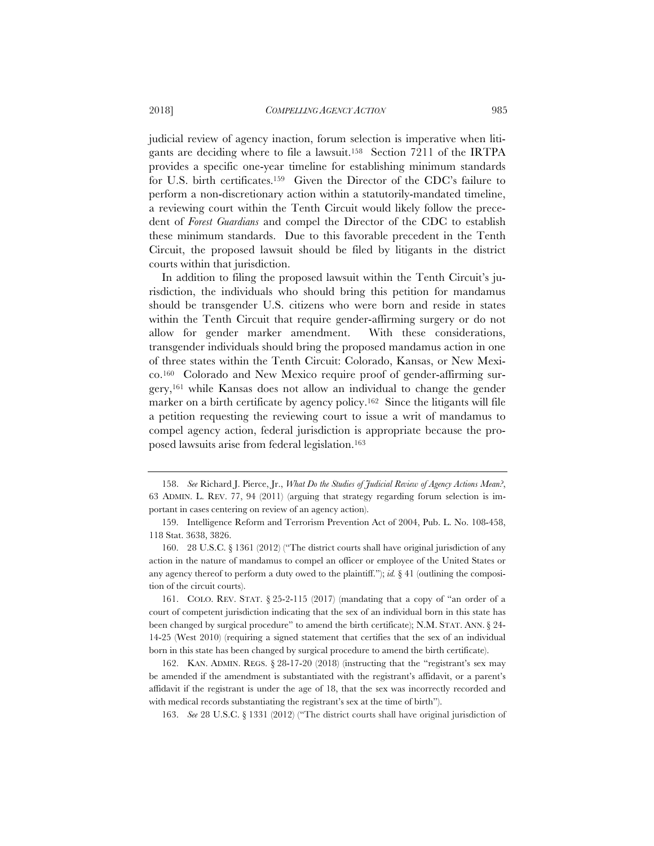judicial review of agency inaction, forum selection is imperative when litigants are deciding where to file a lawsuit.158 Section 7211 of the IRTPA provides a specific one-year timeline for establishing minimum standards for U.S. birth certificates.159 Given the Director of the CDC's failure to perform a non-discretionary action within a statutorily-mandated timeline, a reviewing court within the Tenth Circuit would likely follow the precedent of *Forest Guardians* and compel the Director of the CDC to establish these minimum standards. Due to this favorable precedent in the Tenth Circuit, the proposed lawsuit should be filed by litigants in the district courts within that jurisdiction.

In addition to filing the proposed lawsuit within the Tenth Circuit's jurisdiction, the individuals who should bring this petition for mandamus should be transgender U.S. citizens who were born and reside in states within the Tenth Circuit that require gender-affirming surgery or do not allow for gender marker amendment. With these considerations, transgender individuals should bring the proposed mandamus action in one of three states within the Tenth Circuit: Colorado, Kansas, or New Mexico.160 Colorado and New Mexico require proof of gender-affirming surgery,161 while Kansas does not allow an individual to change the gender marker on a birth certificate by agency policy.162 Since the litigants will file a petition requesting the reviewing court to issue a writ of mandamus to compel agency action, federal jurisdiction is appropriate because the proposed lawsuits arise from federal legislation.163

163. *See* 28 U.S.C. § 1331 (2012) ("The district courts shall have original jurisdiction of

<sup>158.</sup> *See* Richard J. Pierce, Jr., *What Do the Studies of Judicial Review of Agency Actions Mean?*, 63 ADMIN. L. REV. 77, 94 (2011) (arguing that strategy regarding forum selection is important in cases centering on review of an agency action).

<sup>159.</sup> Intelligence Reform and Terrorism Prevention Act of 2004, Pub. L. No. 108-458, 118 Stat. 3638, 3826.

<sup>160. 28</sup> U.S.C. § 1361 (2012) ("The district courts shall have original jurisdiction of any action in the nature of mandamus to compel an officer or employee of the United States or any agency thereof to perform a duty owed to the plaintiff."); *id.*  $\S 41$  (outlining the composition of the circuit courts).

<sup>161.</sup> COLO. REV. STAT. § 25-2-115 (2017) (mandating that a copy of "an order of a court of competent jurisdiction indicating that the sex of an individual born in this state has been changed by surgical procedure" to amend the birth certificate); N.M. STAT. ANN. § 24- 14-25 (West 2010) (requiring a signed statement that certifies that the sex of an individual born in this state has been changed by surgical procedure to amend the birth certificate).

<sup>162.</sup> KAN. ADMIN. REGS. § 28-17-20 (2018) (instructing that the "registrant's sex may be amended if the amendment is substantiated with the registrant's affidavit, or a parent's affidavit if the registrant is under the age of 18, that the sex was incorrectly recorded and with medical records substantiating the registrant's sex at the time of birth").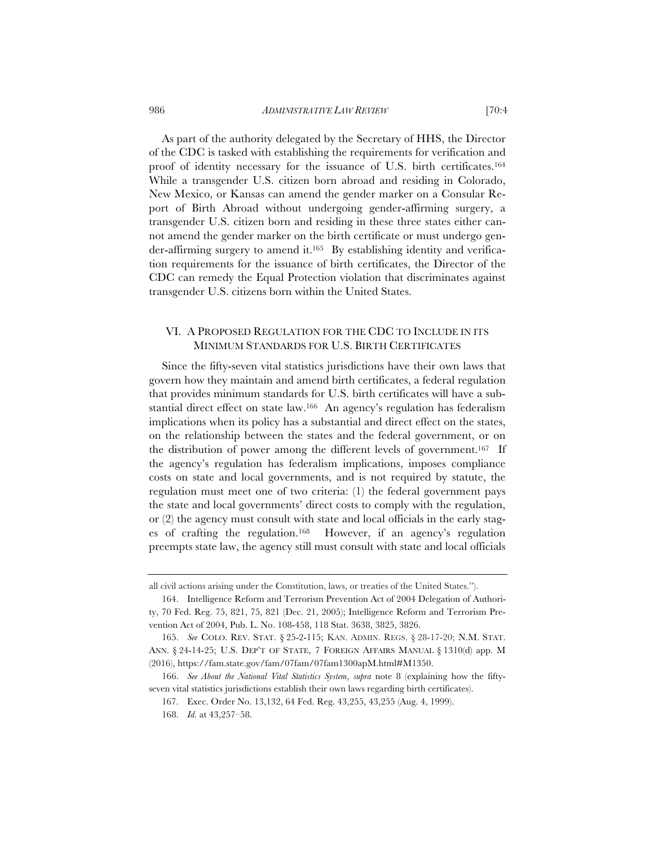As part of the authority delegated by the Secretary of HHS, the Director of the CDC is tasked with establishing the requirements for verification and proof of identity necessary for the issuance of U.S. birth certificates.164 While a transgender U.S. citizen born abroad and residing in Colorado, New Mexico, or Kansas can amend the gender marker on a Consular Report of Birth Abroad without undergoing gender-affirming surgery, a transgender U.S. citizen born and residing in these three states either cannot amend the gender marker on the birth certificate or must undergo gender-affirming surgery to amend it.165 By establishing identity and verification requirements for the issuance of birth certificates, the Director of the CDC can remedy the Equal Protection violation that discriminates against transgender U.S. citizens born within the United States.

# VI. A PROPOSED REGULATION FOR THE CDC TO INCLUDE IN ITS MINIMUM STANDARDS FOR U.S. BIRTH CERTIFICATES

Since the fifty-seven vital statistics jurisdictions have their own laws that govern how they maintain and amend birth certificates, a federal regulation that provides minimum standards for U.S. birth certificates will have a substantial direct effect on state law.166 An agency's regulation has federalism implications when its policy has a substantial and direct effect on the states, on the relationship between the states and the federal government, or on the distribution of power among the different levels of government.167 If the agency's regulation has federalism implications, imposes compliance costs on state and local governments, and is not required by statute, the regulation must meet one of two criteria: (1) the federal government pays the state and local governments' direct costs to comply with the regulation, or (2) the agency must consult with state and local officials in the early stages of crafting the regulation.168 However, if an agency's regulation preempts state law, the agency still must consult with state and local officials

all civil actions arising under the Constitution, laws, or treaties of the United States.").

<sup>164.</sup> Intelligence Reform and Terrorism Prevention Act of 2004 Delegation of Authority, 70 Fed. Reg. 75, 821, 75, 821 (Dec. 21, 2005); Intelligence Reform and Terrorism Prevention Act of 2004, Pub. L. No. 108-458, 118 Stat. 3638, 3825, 3826.

<sup>165.</sup> *See* COLO. REV. STAT. § 25-2-115; KAN. ADMIN. REGS. § 28-17-20; N.M. STAT. ANN. § 24-14-25; U.S. DEP'T OF STATE, 7 FOREIGN AFFAIRS MANUAL § 1310(d) app. M (2016), https://fam.state.gov/fam/07fam/07fam1300apM.html#M1350.

<sup>166.</sup> *See About the National Vital Statistics System*, *supra* note 8 (explaining how the fiftyseven vital statistics jurisdictions establish their own laws regarding birth certificates).

<sup>167.</sup> Exec. Order No. 13,132, 64 Fed. Reg. 43,255, 43,255 (Aug. 4, 1999).

<sup>168.</sup> *Id.* at 43,257–58.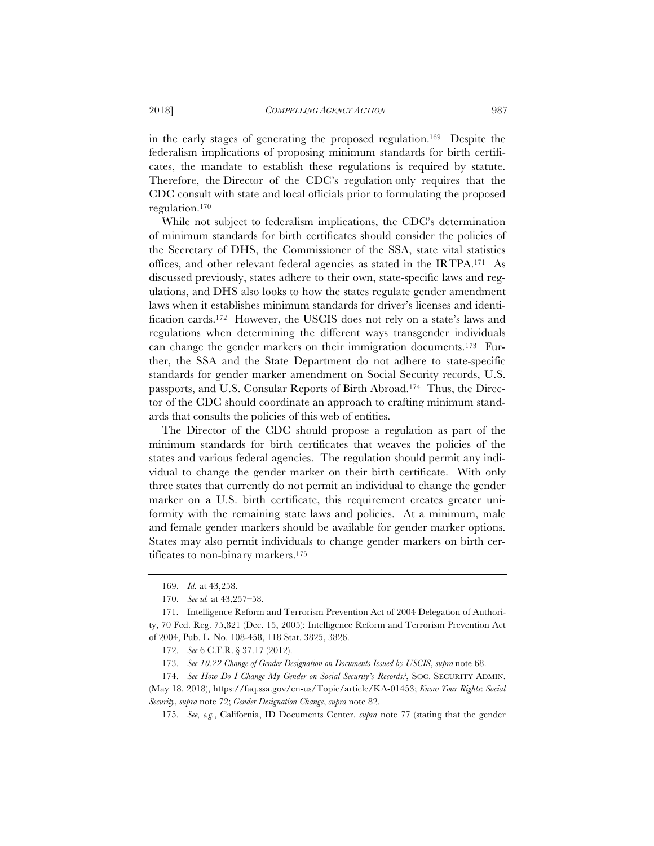in the early stages of generating the proposed regulation.169 Despite the federalism implications of proposing minimum standards for birth certificates, the mandate to establish these regulations is required by statute. Therefore, the Director of the CDC's regulation only requires that the CDC consult with state and local officials prior to formulating the proposed regulation.170

 While not subject to federalism implications, the CDC's determination of minimum standards for birth certificates should consider the policies of the Secretary of DHS, the Commissioner of the SSA, state vital statistics offices, and other relevant federal agencies as stated in the IRTPA.171 As discussed previously, states adhere to their own, state-specific laws and regulations, and DHS also looks to how the states regulate gender amendment laws when it establishes minimum standards for driver's licenses and identification cards.172 However, the USCIS does not rely on a state's laws and regulations when determining the different ways transgender individuals can change the gender markers on their immigration documents.173 Further, the SSA and the State Department do not adhere to state-specific standards for gender marker amendment on Social Security records, U.S. passports, and U.S. Consular Reports of Birth Abroad.174 Thus, the Director of the CDC should coordinate an approach to crafting minimum standards that consults the policies of this web of entities.

The Director of the CDC should propose a regulation as part of the minimum standards for birth certificates that weaves the policies of the states and various federal agencies. The regulation should permit any individual to change the gender marker on their birth certificate. With only three states that currently do not permit an individual to change the gender marker on a U.S. birth certificate, this requirement creates greater uniformity with the remaining state laws and policies. At a minimum, male and female gender markers should be available for gender marker options. States may also permit individuals to change gender markers on birth certificates to non-binary markers.175

175. *See, e.g.*, California, ID Documents Center, *supra* note 77 (stating that the gender

<sup>169.</sup> *Id.* at 43,258.

<sup>170.</sup> *See id.* at 43,257–58.

<sup>171.</sup> Intelligence Reform and Terrorism Prevention Act of 2004 Delegation of Authority, 70 Fed. Reg. 75,821 (Dec. 15, 2005); Intelligence Reform and Terrorism Prevention Act of 2004, Pub. L. No. 108-458, 118 Stat. 3825, 3826.

<sup>172.</sup> *See* 6 C.F.R. § 37.17 (2012).

<sup>173.</sup> *See 10.22 Change of Gender Designation on Documents Issued by USCIS*, *supra* note 68.

<sup>174.</sup> *See How Do I Change My Gender on Social Security's Records?*, SOC. SECURITY ADMIN. (May 18, 2018), https://faq.ssa.gov/en-us/Topic/article/KA-01453; *Know Your Rights*: *Social Security*, *supra* note 72; *Gender Designation Change*, *supra* note 82.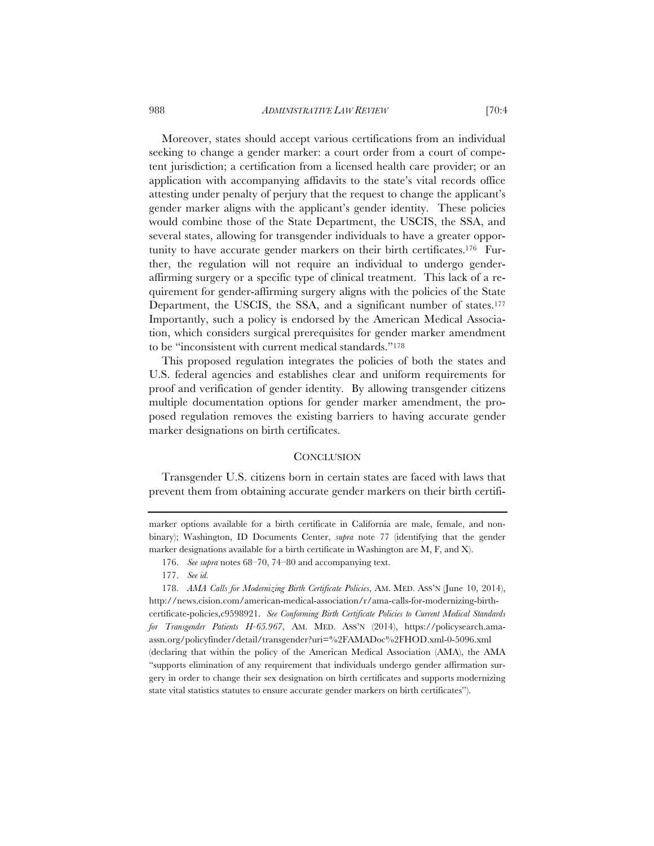988 *ADMINISTRATIVE LAW REVIEW* [70:4

Moreover, states should accept various certifications from an individual seeking to change a gender marker: a court order from a court of competent jurisdiction; a certification from a licensed health care provider; or an application with accompanying affidavits to the state's vital records office attesting under penalty of perjury that the request to change the applicant's gender marker aligns with the applicant's gender identity. These policies would combine those of the State Department, the USCIS, the SSA, and several states, allowing for transgender individuals to have a greater opportunity to have accurate gender markers on their birth certificates.176 Further, the regulation will not require an individual to undergo genderaffirming surgery or a specific type of clinical treatment. This lack of a requirement for gender-affirming surgery aligns with the policies of the State Department, the USCIS, the SSA, and a significant number of states.<sup>177</sup> Importantly, such a policy is endorsed by the American Medical Association, which considers surgical prerequisites for gender marker amendment to be "inconsistent with current medical standards."178

This proposed regulation integrates the policies of both the states and U.S. federal agencies and establishes clear and uniform requirements for proof and verification of gender identity. By allowing transgender citizens multiple documentation options for gender marker amendment, the proposed regulation removes the existing barriers to having accurate gender marker designations on birth certificates.

# **CONCLUSION**

Transgender U.S. citizens born in certain states are faced with laws that prevent them from obtaining accurate gender markers on their birth certifi-

177. *See id.*

marker options available for a birth certificate in California are male, female, and nonbinary); Washington, ID Documents Center, *supra* note 77 (identifying that the gender marker designations available for a birth certificate in Washington are M, F, and X).

<sup>176.</sup> *See supra* notes 68–70, 74–80 and accompanying text.

<sup>178.</sup> *AMA Calls for Modernizing Birth Certificate Policies*, AM. MED. ASS'N (June 10, 2014), http://news.cision.com/american-medical-association/r/ama-calls-for-modernizing-birthcertificate-policies,c9598921. *See Conforming Birth Certificate Policies to Current Medical Standards for Transgender Patients H-65.967*, AM. MED. ASS'N (2014), https://policysearch.amaassn.org/policyfinder/detail/transgender?uri=%2FAMADoc%2FHOD.xml-0-5096.xml (declaring that within the policy of the American Medical Association (AMA), the AMA "supports elimination of any requirement that individuals undergo gender affirmation surgery in order to change their sex designation on birth certificates and supports modernizing state vital statistics statutes to ensure accurate gender markers on birth certificates").